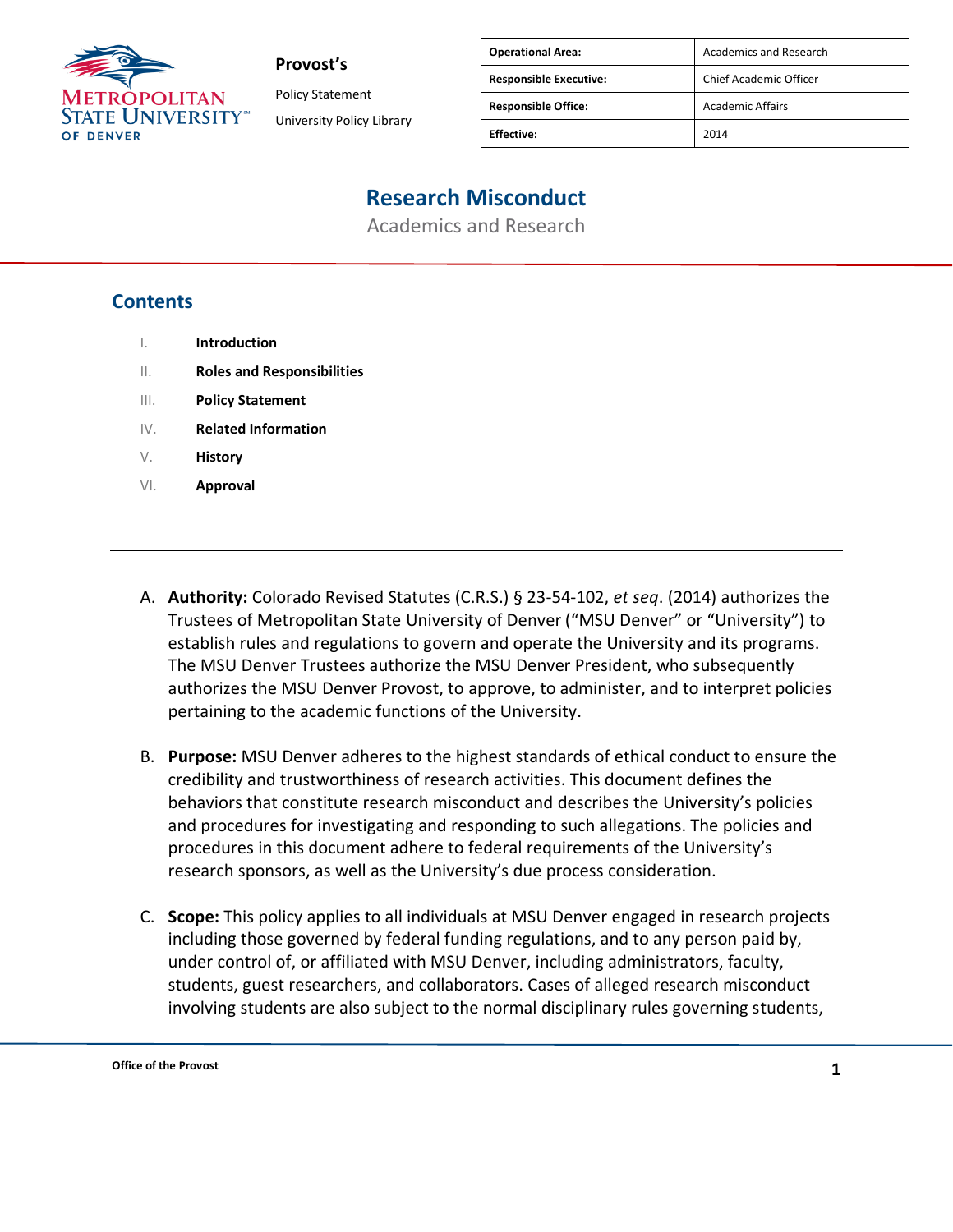

Policy Statement University Policy Library

| Academics and Research  |
|-------------------------|
| Chief Academic Officer  |
| <b>Academic Affairs</b> |
|                         |
|                         |

# **Research Misconduct**

Academics and Research

### **Contents**

- I. **Introduction**
- II. **Roles and Responsibilities**
- III. **Policy Statement**
- IV. **Related Information**
- V. **History**
- VI. **Approval**
- A. **Authority:** Colorado Revised Statutes (C.R.S.) § 23-54-102, *et seq*. (2014) authorizes the Trustees of Metropolitan State University of Denver ("MSU Denver" or "University") to establish rules and regulations to govern and operate the University and its programs. The MSU Denver Trustees authorize the MSU Denver President, who subsequently authorizes the MSU Denver Provost, to approve, to administer, and to interpret policies pertaining to the academic functions of the University.
- B. **Purpose:** MSU Denver adheres to the highest standards of ethical conduct to ensure the credibility and trustworthiness of research activities. This document defines the behaviors that constitute research misconduct and describes the University's policies and procedures for investigating and responding to such allegations. The policies and procedures in this document adhere to federal requirements of the University's research sponsors, as well as the University's due process consideration.
- C. **Scope:** This policy applies to all individuals at MSU Denver engaged in research projects including those governed by federal funding regulations, and to any person paid by, under control of, or affiliated with MSU Denver, including administrators, faculty, students, guest researchers, and collaborators. Cases of alleged research misconduct involving students are also subject to the normal disciplinary rules governing students,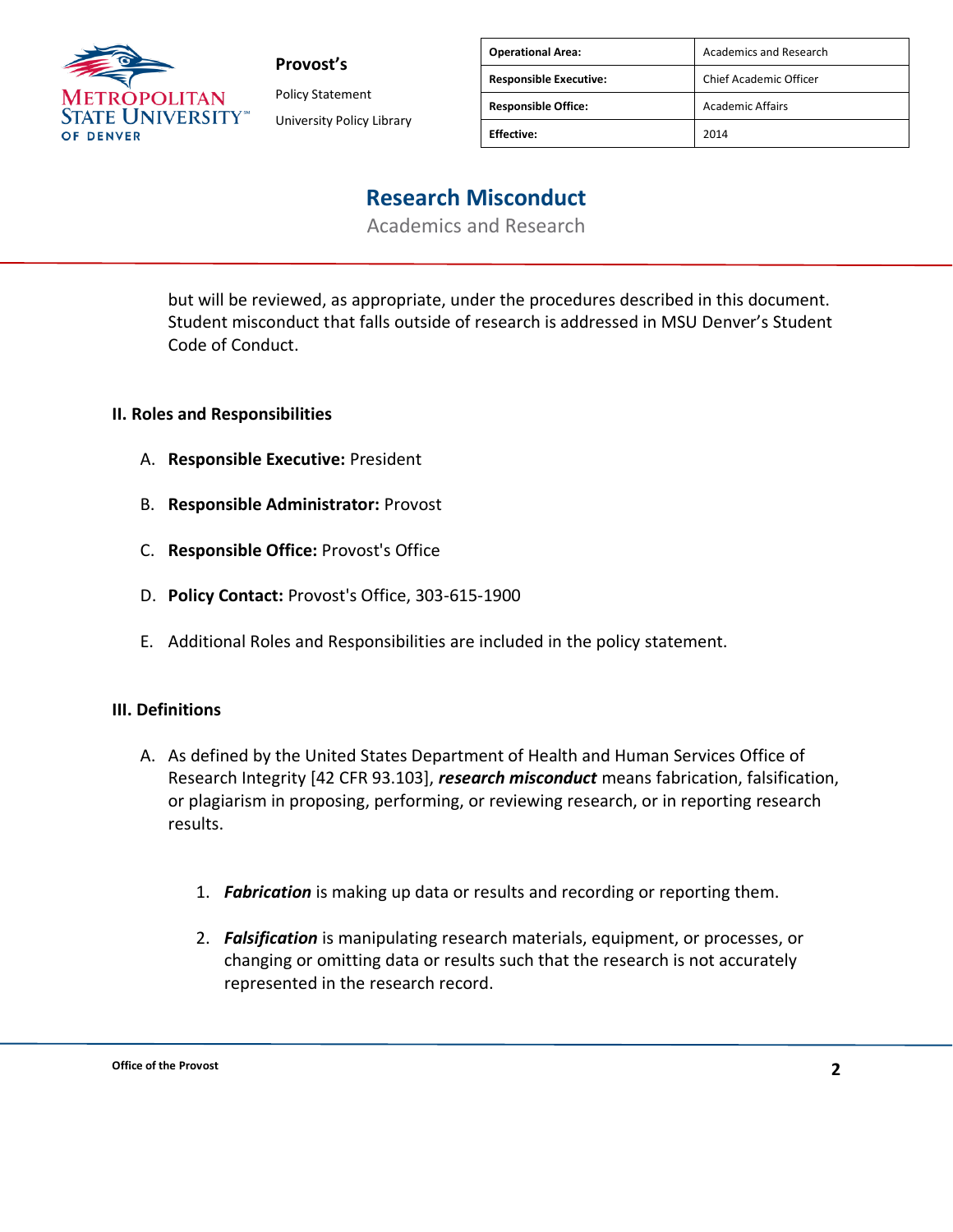

Policy Statement University Policy Library

| <b>Operational Area:</b>      | Academics and Research  |
|-------------------------------|-------------------------|
| <b>Responsible Executive:</b> | Chief Academic Officer  |
| <b>Responsible Office:</b>    | <b>Academic Affairs</b> |
| <b>Fffective:</b>             | 2014                    |

### **Research Misconduct**

Academics and Research

but will be reviewed, as appropriate, under the procedures described in this document. Student misconduct that falls outside of research is addressed in MSU Denver's Student Code of Conduct.

#### **II. Roles and Responsibilities**

- A. **Responsible Executive:** President
- B. **Responsible Administrator:** Provost
- C. **Responsible Office:** Provost's Office
- D. **Policy Contact:** Provost's Office, 303-615-1900
- E. Additional Roles and Responsibilities are included in the policy statement.

#### **III. Definitions**

- A. As defined by the United States Department of Health and Human Services Office of Research Integrity [42 CFR 93.103], *research misconduct* means fabrication, falsification, or plagiarism in proposing, performing, or reviewing research, or in reporting research results.
	- 1. *Fabrication* is making up data or results and recording or reporting them.
	- 2. *Falsification* is manipulating research materials, equipment, or processes, or changing or omitting data or results such that the research is not accurately represented in the research record.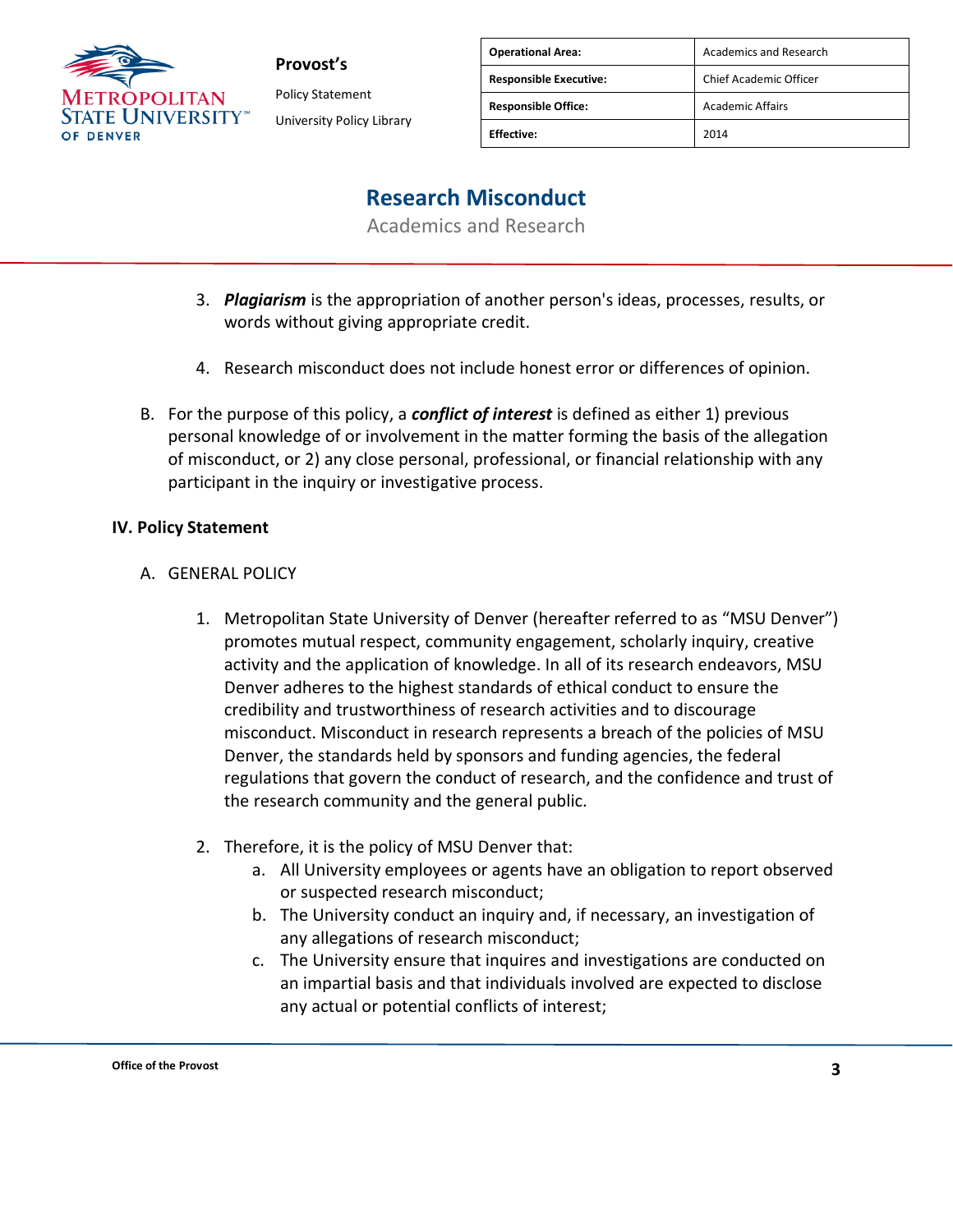

Policy Statement University Policy Library

| <b>Operational Area:</b>      | Academics and Research  |
|-------------------------------|-------------------------|
| <b>Responsible Executive:</b> | Chief Academic Officer  |
| <b>Responsible Office:</b>    | <b>Academic Affairs</b> |
| <b>Effective:</b>             | 2014                    |

### **Research Misconduct**

Academics and Research

- 3. *Plagiarism* is the appropriation of another person's ideas, processes, results, or words without giving appropriate credit.
- 4. Research misconduct does not include honest error or differences of opinion.
- B. For the purpose of this policy, a *conflict of interest* is defined as either 1) previous personal knowledge of or involvement in the matter forming the basis of the allegation of misconduct, or 2) any close personal, professional, or financial relationship with any participant in the inquiry or investigative process.

#### **IV. Policy Statement**

#### A. GENERAL POLICY

- 1. Metropolitan State University of Denver (hereafter referred to as "MSU Denver") promotes mutual respect, community engagement, scholarly inquiry, creative activity and the application of knowledge. In all of its research endeavors, MSU Denver adheres to the highest standards of ethical conduct to ensure the credibility and trustworthiness of research activities and to discourage misconduct. Misconduct in research represents a breach of the policies of MSU Denver, the standards held by sponsors and funding agencies, the federal regulations that govern the conduct of research, and the confidence and trust of the research community and the general public.
- 2. Therefore, it is the policy of MSU Denver that:
	- a. All University employees or agents have an obligation to report observed or suspected research misconduct;
	- b. The University conduct an inquiry and, if necessary, an investigation of any allegations of research misconduct;
	- c. The University ensure that inquires and investigations are conducted on an impartial basis and that individuals involved are expected to disclose any actual or potential conflicts of interest;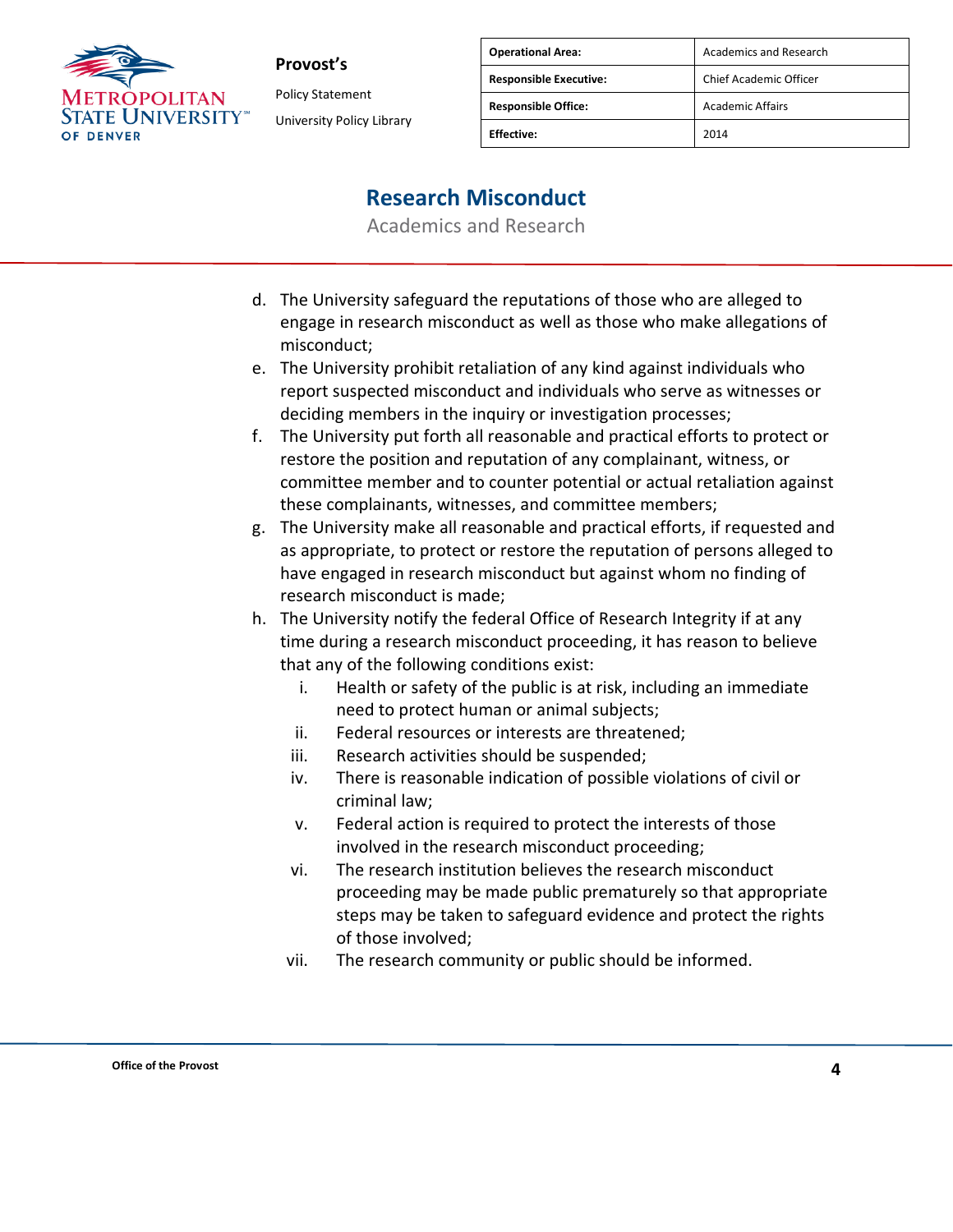

Policy Statement University Policy Library

| <b>Operational Area:</b>      | Academics and Research  |
|-------------------------------|-------------------------|
| <b>Responsible Executive:</b> | Chief Academic Officer  |
| <b>Responsible Office:</b>    | <b>Academic Affairs</b> |
| <b>Effective:</b>             | 2014                    |

### **Research Misconduct**

- d. The University safeguard the reputations of those who are alleged to engage in research misconduct as well as those who make allegations of misconduct;
- e. The University prohibit retaliation of any kind against individuals who report suspected misconduct and individuals who serve as witnesses or deciding members in the inquiry or investigation processes;
- f. The University put forth all reasonable and practical efforts to protect or restore the position and reputation of any complainant, witness, or committee member and to counter potential or actual retaliation against these complainants, witnesses, and committee members;
- g. The University make all reasonable and practical efforts, if requested and as appropriate, to protect or restore the reputation of persons alleged to have engaged in research misconduct but against whom no finding of research misconduct is made;
- h. The University notify the federal Office of Research Integrity if at any time during a research misconduct proceeding, it has reason to believe that any of the following conditions exist:
	- i. Health or safety of the public is at risk, including an immediate need to protect human or animal subjects;
	- ii. Federal resources or interests are threatened;
	- iii. Research activities should be suspended;
	- iv. There is reasonable indication of possible violations of civil or criminal law;
	- v. Federal action is required to protect the interests of those involved in the research misconduct proceeding;
	- vi. The research institution believes the research misconduct proceeding may be made public prematurely so that appropriate steps may be taken to safeguard evidence and protect the rights of those involved;
	- vii. The research community or public should be informed.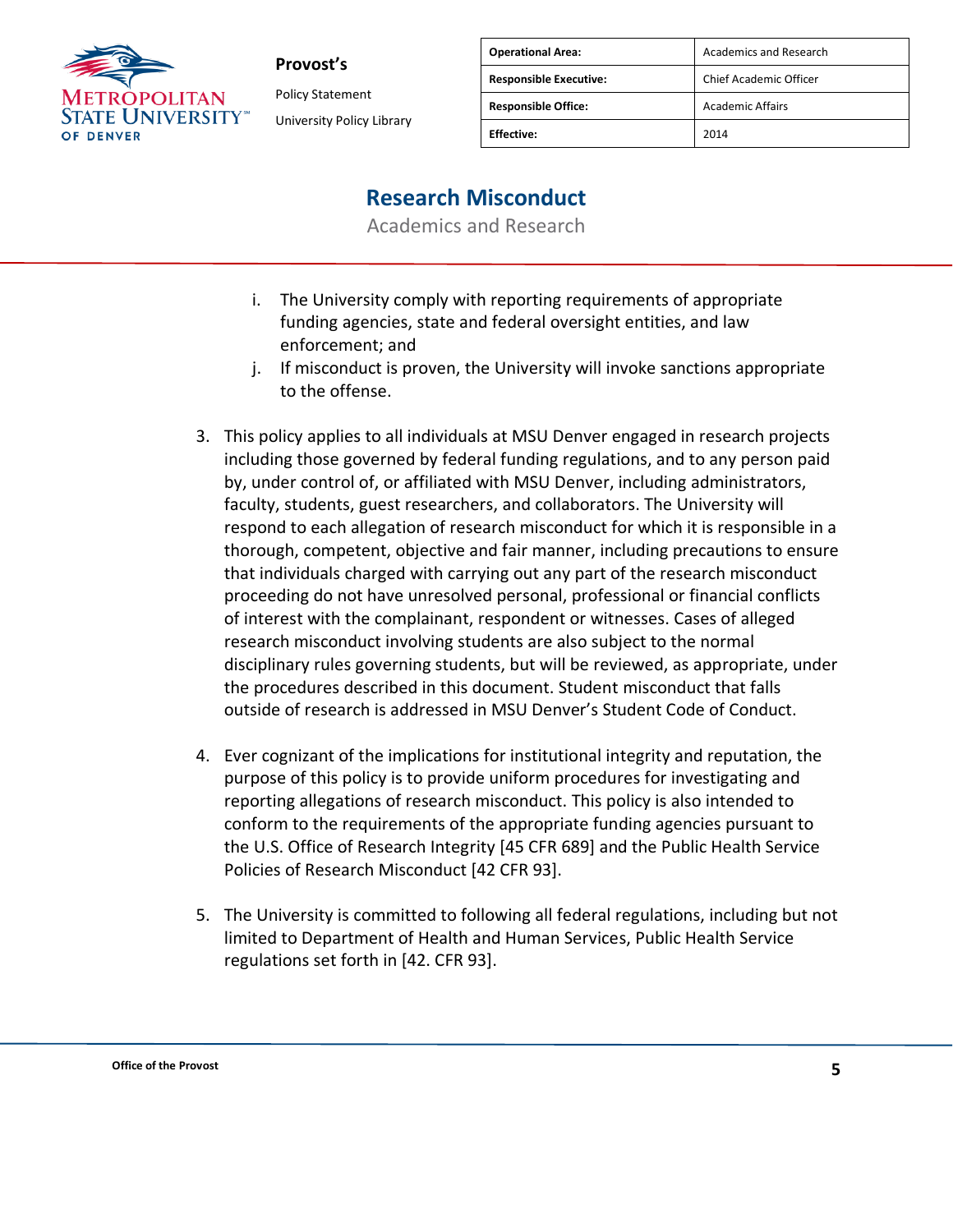

Policy Statement University Policy Library

| <b>Operational Area:</b>      | <b>Academics and Research</b> |
|-------------------------------|-------------------------------|
| <b>Responsible Executive:</b> | Chief Academic Officer        |
| <b>Responsible Office:</b>    | <b>Academic Affairs</b>       |
| <b>Fffective:</b>             | 2014                          |

## **Research Misconduct**

- i. The University comply with reporting requirements of appropriate funding agencies, state and federal oversight entities, and law enforcement; and
- j. If misconduct is proven, the University will invoke sanctions appropriate to the offense.
- 3. This policy applies to all individuals at MSU Denver engaged in research projects including those governed by federal funding regulations, and to any person paid by, under control of, or affiliated with MSU Denver, including administrators, faculty, students, guest researchers, and collaborators. The University will respond to each allegation of research misconduct for which it is responsible in a thorough, competent, objective and fair manner, including precautions to ensure that individuals charged with carrying out any part of the research misconduct proceeding do not have unresolved personal, professional or financial conflicts of interest with the complainant, respondent or witnesses. Cases of alleged research misconduct involving students are also subject to the normal disciplinary rules governing students, but will be reviewed, as appropriate, under the procedures described in this document. Student misconduct that falls outside of research is addressed in MSU Denver's Student Code of Conduct.
- 4. Ever cognizant of the implications for institutional integrity and reputation, the purpose of this policy is to provide uniform procedures for investigating and reporting allegations of research misconduct. This policy is also intended to conform to the requirements of the appropriate funding agencies pursuant to the U.S. Office of Research Integrity [45 CFR 689] and the Public Health Service Policies of Research Misconduct [42 CFR 93].
- 5. The University is committed to following all federal regulations, including but not limited to Department of Health and Human Services, Public Health Service regulations set forth in [42. CFR 93].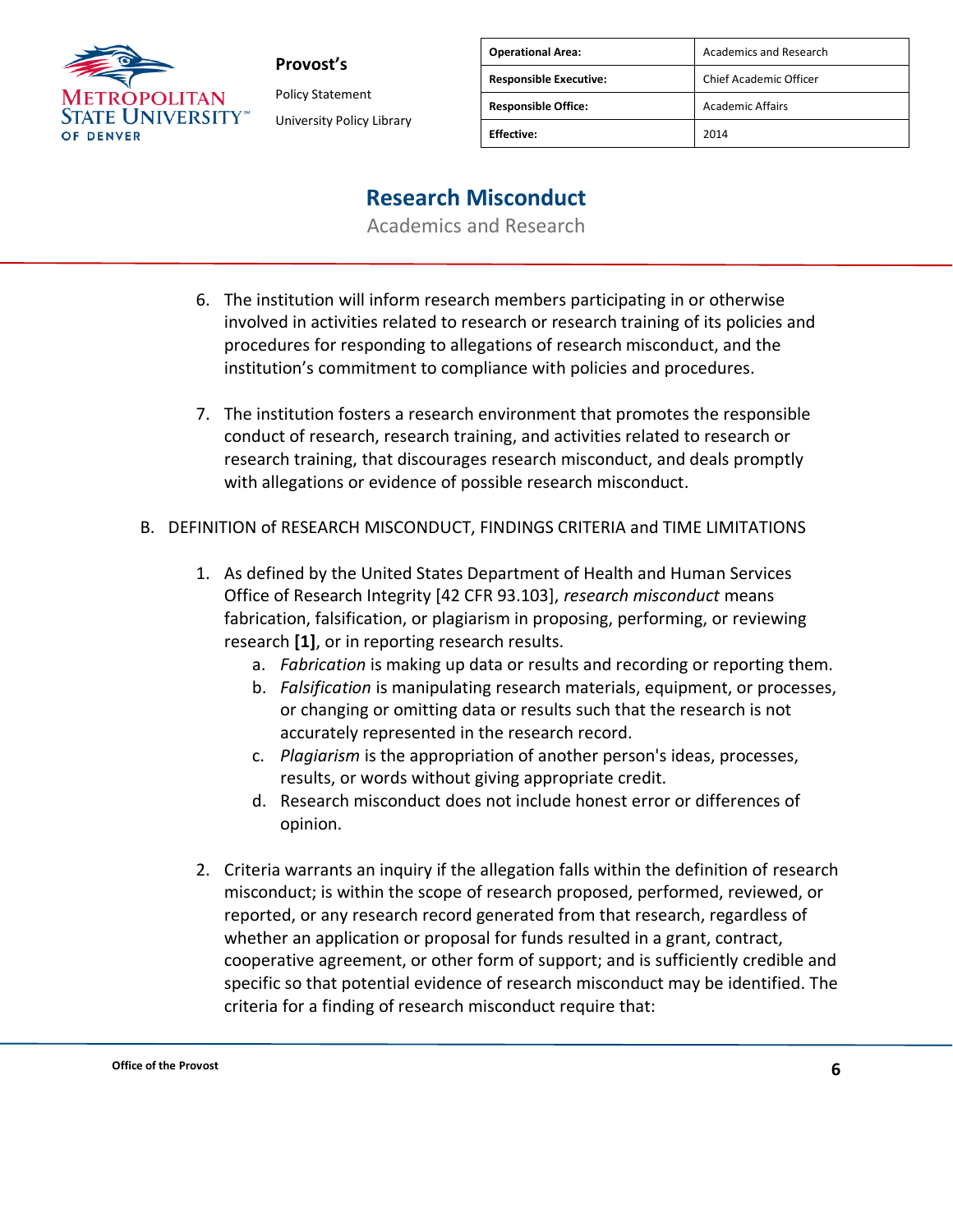

**Provost's** Policy Statement University Policy Library

| <b>Operational Area:</b>      | Academics and Research  |
|-------------------------------|-------------------------|
| <b>Responsible Executive:</b> | Chief Academic Officer  |
| <b>Responsible Office:</b>    | <b>Academic Affairs</b> |
| <b>Effective:</b>             | 2014                    |

### **Research Misconduct**

- 6. The institution will inform research members participating in or otherwise involved in activities related to research or research training of its policies and procedures for responding to allegations of research misconduct, and the institution's commitment to compliance with policies and procedures.
- 7. The institution fosters a research environment that promotes the responsible conduct of research, research training, and activities related to research or research training, that discourages research misconduct, and deals promptly with allegations or evidence of possible research misconduct.
- B. DEFINITION of RESEARCH MISCONDUCT, FINDINGS CRITERIA and TIME LIMITATIONS
	- 1. As defined by the United States Department of Health and Human Services Office of Research Integrity [42 CFR 93.103], *research misconduct* means fabrication, falsification, or plagiarism in proposing, performing, or reviewing research **[1]**, or in reporting research results.
		- a. *Fabrication* is making up data or results and recording or reporting them.
		- b. *Falsification* is manipulating research materials, equipment, or processes, or changing or omitting data or results such that the research is not accurately represented in the research record.
		- c. *Plagiarism* is the appropriation of another person's ideas, processes, results, or words without giving appropriate credit.
		- d. Research misconduct does not include honest error or differences of opinion.
	- 2. Criteria warrants an inquiry if the allegation falls within the definition of research misconduct; is within the scope of research proposed, performed, reviewed, or reported, or any research record generated from that research, regardless of whether an application or proposal for funds resulted in a grant, contract, cooperative agreement, or other form of support; and is sufficiently credible and specific so that potential evidence of research misconduct may be identified. The criteria for a finding of research misconduct require that: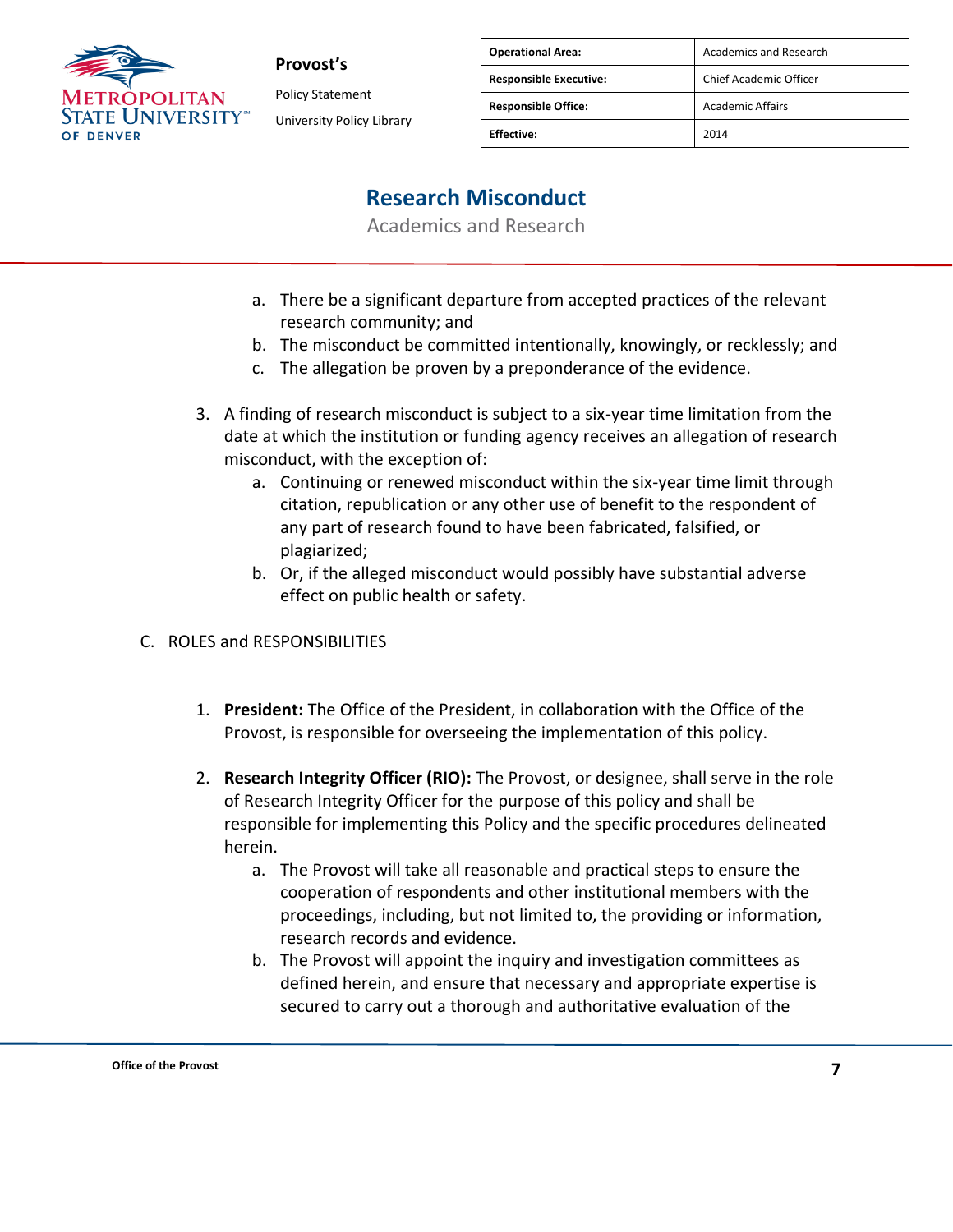

**Provost's** Policy Statement

University Policy Library

| <b>Operational Area:</b>      | <b>Academics and Research</b> |
|-------------------------------|-------------------------------|
| <b>Responsible Executive:</b> | <b>Chief Academic Officer</b> |
| <b>Responsible Office:</b>    | <b>Academic Affairs</b>       |
| <b>Effective:</b>             | 2014                          |

### **Research Misconduct**

- a. There be a significant departure from accepted practices of the relevant research community; and
- b. The misconduct be committed intentionally, knowingly, or recklessly; and
- c. The allegation be proven by a preponderance of the evidence.
- 3. A finding of research misconduct is subject to a six-year time limitation from the date at which the institution or funding agency receives an allegation of research misconduct, with the exception of:
	- a. Continuing or renewed misconduct within the six-year time limit through citation, republication or any other use of benefit to the respondent of any part of research found to have been fabricated, falsified, or plagiarized;
	- b. Or, if the alleged misconduct would possibly have substantial adverse effect on public health or safety.
- C. ROLES and RESPONSIBILITIES
	- 1. **President:** The Office of the President, in collaboration with the Office of the Provost, is responsible for overseeing the implementation of this policy.
	- 2. **Research Integrity Officer (RIO):** The Provost, or designee, shall serve in the role of Research Integrity Officer for the purpose of this policy and shall be responsible for implementing this Policy and the specific procedures delineated herein.
		- a. The Provost will take all reasonable and practical steps to ensure the cooperation of respondents and other institutional members with the proceedings, including, but not limited to, the providing or information, research records and evidence.
		- b. The Provost will appoint the inquiry and investigation committees as defined herein, and ensure that necessary and appropriate expertise is secured to carry out a thorough and authoritative evaluation of the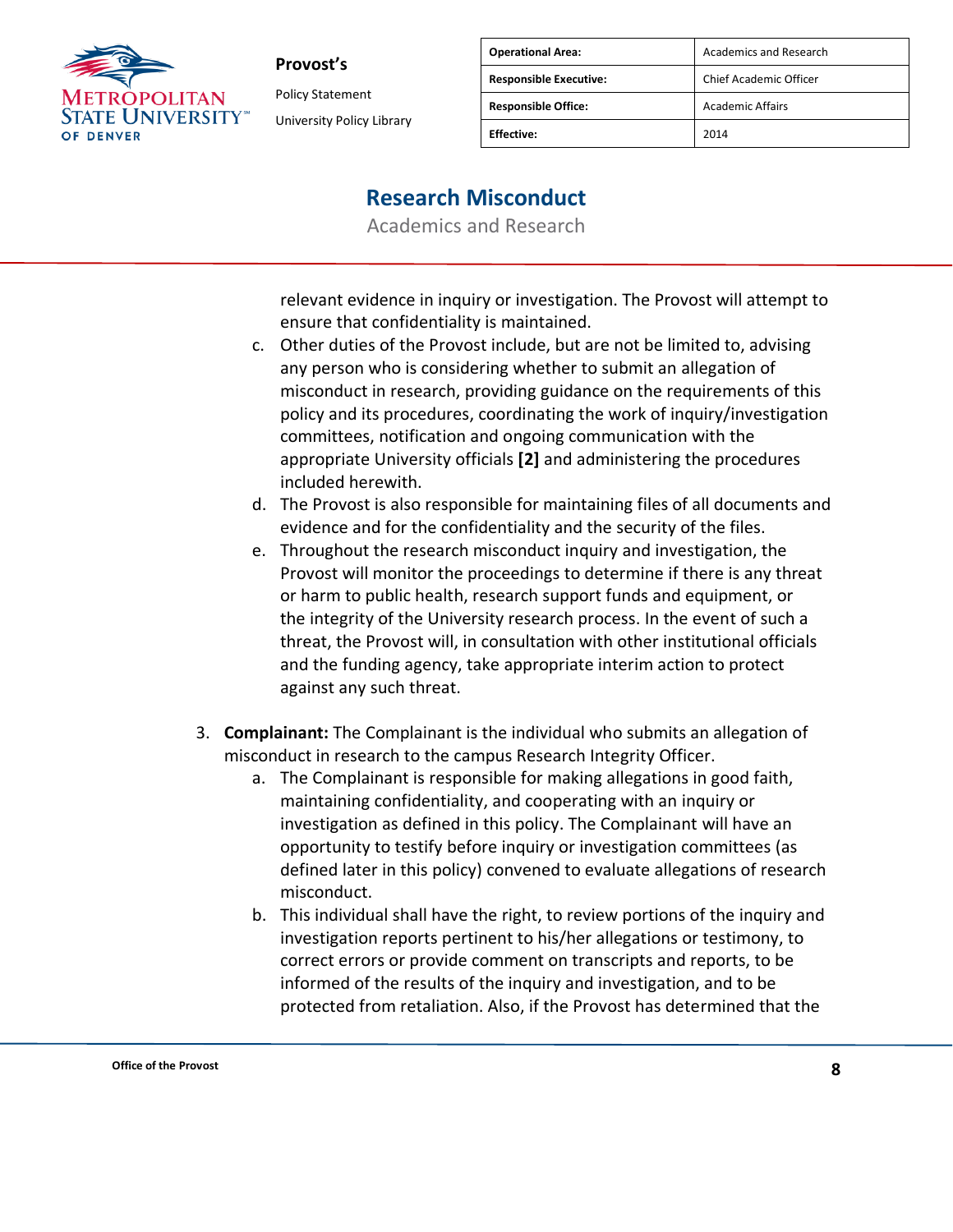

Policy Statement University Policy Library

| <b>Operational Area:</b>      | <b>Academics and Research</b> |
|-------------------------------|-------------------------------|
| <b>Responsible Executive:</b> | Chief Academic Officer        |
| <b>Responsible Office:</b>    | <b>Academic Affairs</b>       |
| <b>Fffective:</b>             | 2014                          |

### **Research Misconduct**

Academics and Research

relevant evidence in inquiry or investigation. The Provost will attempt to ensure that confidentiality is maintained.

- c. Other duties of the Provost include, but are not be limited to, advising any person who is considering whether to submit an allegation of misconduct in research, providing guidance on the requirements of this policy and its procedures, coordinating the work of inquiry/investigation committees, notification and ongoing communication with the appropriate University officials **[2]** and administering the procedures included herewith.
- d. The Provost is also responsible for maintaining files of all documents and evidence and for the confidentiality and the security of the files.
- e. Throughout the research misconduct inquiry and investigation, the Provost will monitor the proceedings to determine if there is any threat or harm to public health, research support funds and equipment, or the integrity of the University research process. In the event of such a threat, the Provost will, in consultation with other institutional officials and the funding agency, take appropriate interim action to protect against any such threat.
- 3. **Complainant:** The Complainant is the individual who submits an allegation of misconduct in research to the campus Research Integrity Officer.
	- a. The Complainant is responsible for making allegations in good faith, maintaining confidentiality, and cooperating with an inquiry or investigation as defined in this policy. The Complainant will have an opportunity to testify before inquiry or investigation committees (as defined later in this policy) convened to evaluate allegations of research misconduct.
	- b. This individual shall have the right, to review portions of the inquiry and investigation reports pertinent to his/her allegations or testimony, to correct errors or provide comment on transcripts and reports, to be informed of the results of the inquiry and investigation, and to be protected from retaliation. Also, if the Provost has determined that the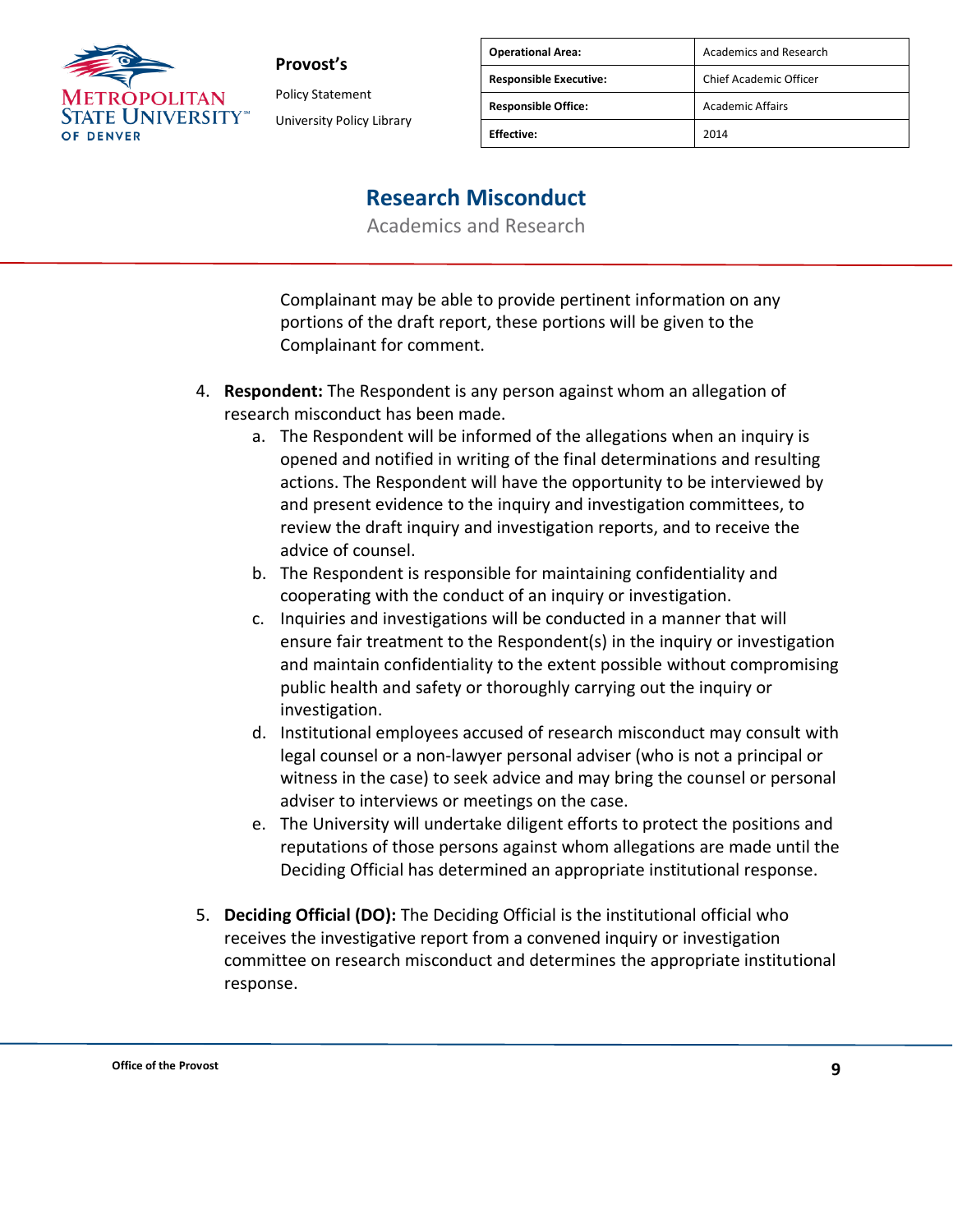

Policy Statement University Policy Library

| <b>Operational Area:</b>      | Academics and Research  |
|-------------------------------|-------------------------|
| <b>Responsible Executive:</b> | Chief Academic Officer  |
| <b>Responsible Office:</b>    | <b>Academic Affairs</b> |
| <b>Effective:</b>             | 2014                    |

### **Research Misconduct**

Academics and Research

Complainant may be able to provide pertinent information on any portions of the draft report, these portions will be given to the Complainant for comment.

- 4. **Respondent:** The Respondent is any person against whom an allegation of research misconduct has been made.
	- a. The Respondent will be informed of the allegations when an inquiry is opened and notified in writing of the final determinations and resulting actions. The Respondent will have the opportunity to be interviewed by and present evidence to the inquiry and investigation committees, to review the draft inquiry and investigation reports, and to receive the advice of counsel.
	- b. The Respondent is responsible for maintaining confidentiality and cooperating with the conduct of an inquiry or investigation.
	- c. Inquiries and investigations will be conducted in a manner that will ensure fair treatment to the Respondent(s) in the inquiry or investigation and maintain confidentiality to the extent possible without compromising public health and safety or thoroughly carrying out the inquiry or investigation.
	- d. Institutional employees accused of research misconduct may consult with legal counsel or a non-lawyer personal adviser (who is not a principal or witness in the case) to seek advice and may bring the counsel or personal adviser to interviews or meetings on the case.
	- e. The University will undertake diligent efforts to protect the positions and reputations of those persons against whom allegations are made until the Deciding Official has determined an appropriate institutional response.
- 5. **Deciding Official (DO):** The Deciding Official is the institutional official who receives the investigative report from a convened inquiry or investigation committee on research misconduct and determines the appropriate institutional response.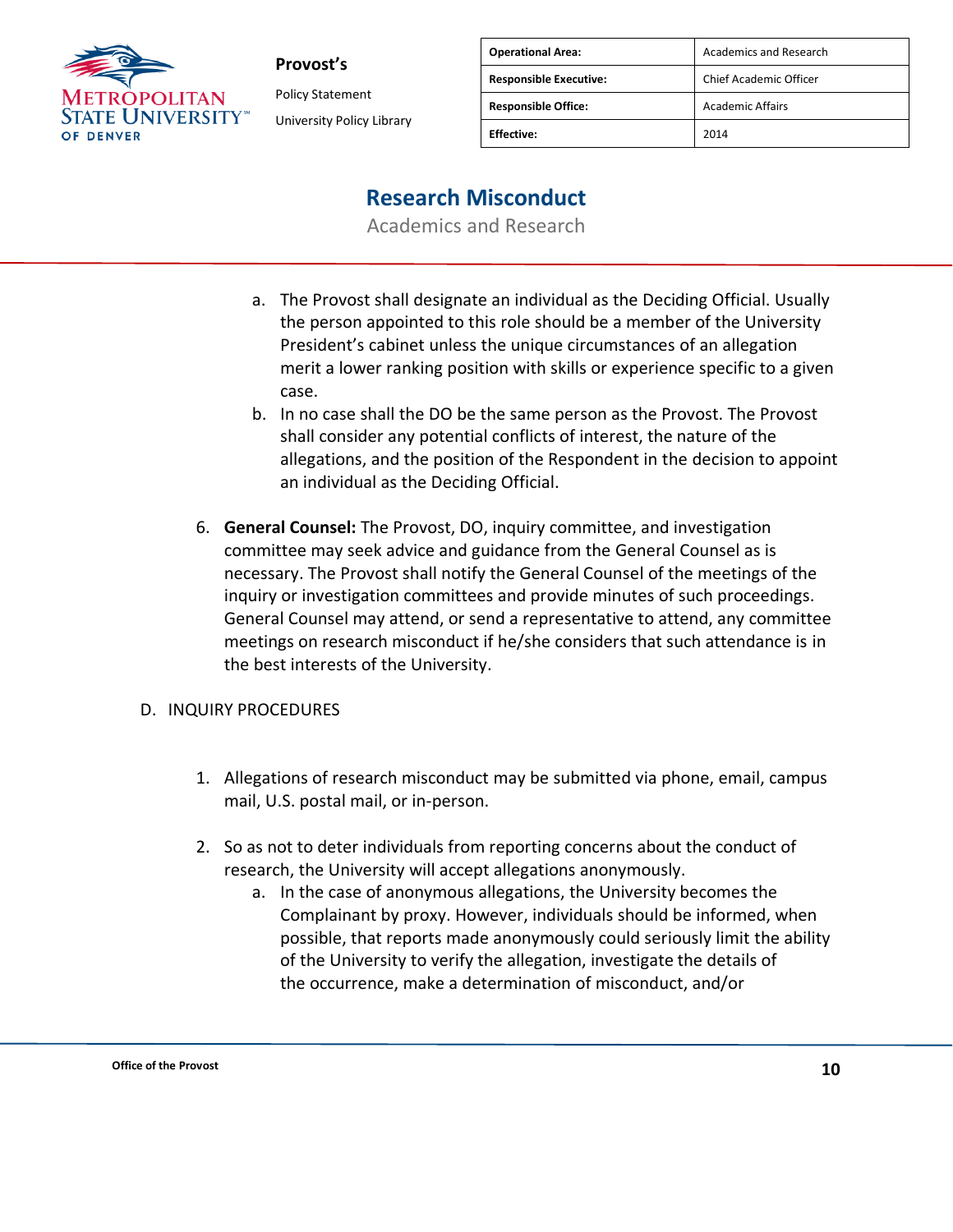

**Provost's** Policy Statement University Policy Library

| <b>Operational Area:</b>      | <b>Academics and Research</b> |
|-------------------------------|-------------------------------|
| <b>Responsible Executive:</b> | Chief Academic Officer        |
| <b>Responsible Office:</b>    | <b>Academic Affairs</b>       |
| <b>Effective:</b>             | 2014                          |

### **Research Misconduct**

Academics and Research

- a. The Provost shall designate an individual as the Deciding Official. Usually the person appointed to this role should be a member of the University President's cabinet unless the unique circumstances of an allegation merit a lower ranking position with skills or experience specific to a given case.
- b. In no case shall the DO be the same person as the Provost. The Provost shall consider any potential conflicts of interest, the nature of the allegations, and the position of the Respondent in the decision to appoint an individual as the Deciding Official.
- 6. **General Counsel:** The Provost, DO, inquiry committee, and investigation committee may seek advice and guidance from the General Counsel as is necessary. The Provost shall notify the General Counsel of the meetings of the inquiry or investigation committees and provide minutes of such proceedings. General Counsel may attend, or send a representative to attend, any committee meetings on research misconduct if he/she considers that such attendance is in the best interests of the University.

### D. INQUIRY PROCEDURES

- 1. Allegations of research misconduct may be submitted via phone, email, campus mail, U.S. postal mail, or in-person.
- 2. So as not to deter individuals from reporting concerns about the conduct of research, the University will accept allegations anonymously.
	- a. In the case of anonymous allegations, the University becomes the Complainant by proxy. However, individuals should be informed, when possible, that reports made anonymously could seriously limit the ability of the University to verify the allegation, investigate the details of the occurrence, make a determination of misconduct, and/or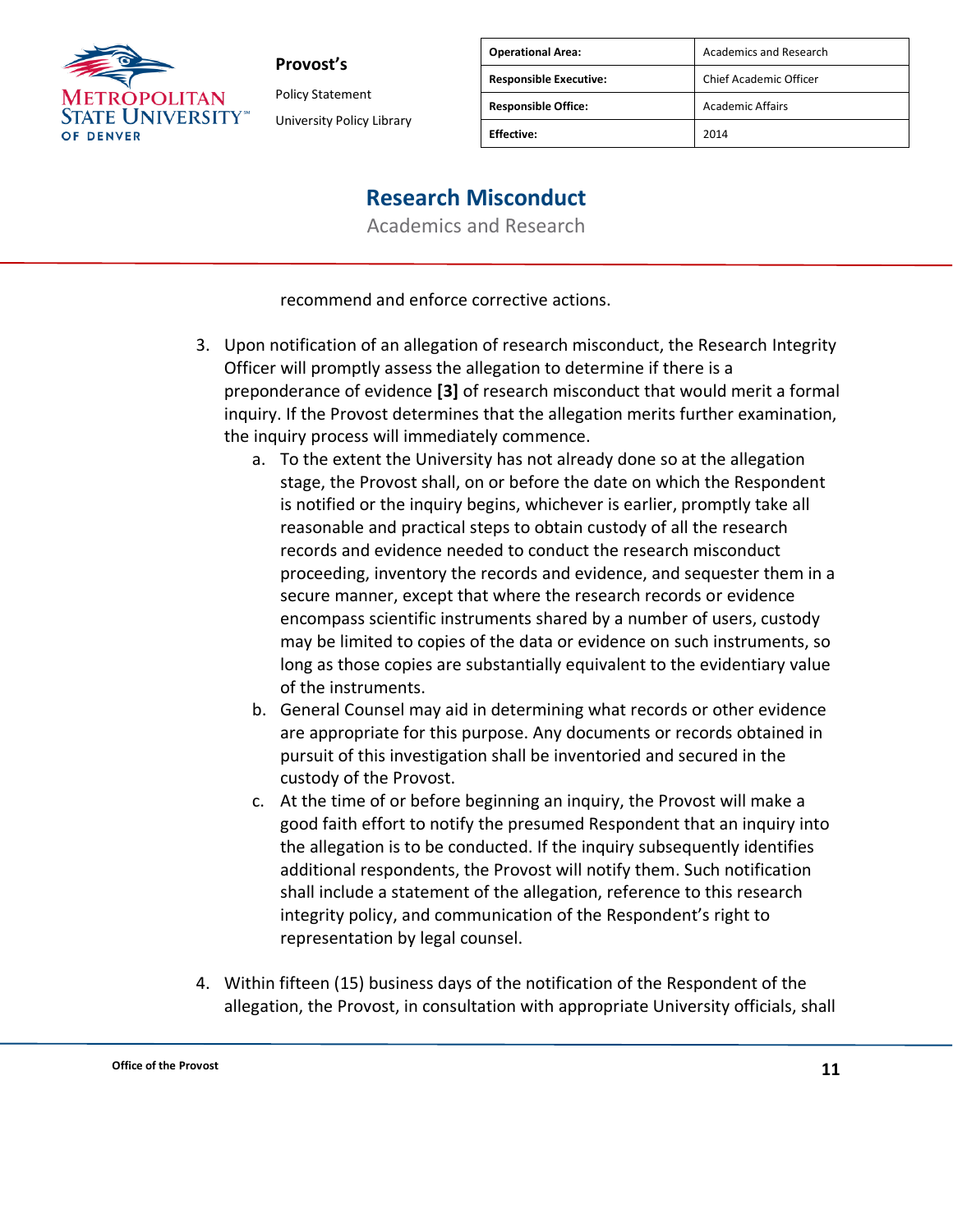

Policy Statement University Policy Library

| <b>Operational Area:</b>      | Academics and Research  |
|-------------------------------|-------------------------|
| <b>Responsible Executive:</b> | Chief Academic Officer  |
| <b>Responsible Office:</b>    | <b>Academic Affairs</b> |
| <b>Fffective:</b>             | 2014                    |

### **Research Misconduct**

Academics and Research

recommend and enforce corrective actions.

- 3. Upon notification of an allegation of research misconduct, the Research Integrity Officer will promptly assess the allegation to determine if there is a preponderance of evidence **[3]** of research misconduct that would merit a formal inquiry. If the Provost determines that the allegation merits further examination, the inquiry process will immediately commence.
	- a. To the extent the University has not already done so at the allegation stage, the Provost shall, on or before the date on which the Respondent is notified or the inquiry begins, whichever is earlier, promptly take all reasonable and practical steps to obtain custody of all the research records and evidence needed to conduct the research misconduct proceeding, inventory the records and evidence, and sequester them in a secure manner, except that where the research records or evidence encompass scientific instruments shared by a number of users, custody may be limited to copies of the data or evidence on such instruments, so long as those copies are substantially equivalent to the evidentiary value of the instruments.
	- b. General Counsel may aid in determining what records or other evidence are appropriate for this purpose. Any documents or records obtained in pursuit of this investigation shall be inventoried and secured in the custody of the Provost.
	- c. At the time of or before beginning an inquiry, the Provost will make a good faith effort to notify the presumed Respondent that an inquiry into the allegation is to be conducted. If the inquiry subsequently identifies additional respondents, the Provost will notify them. Such notification shall include a statement of the allegation, reference to this research integrity policy, and communication of the Respondent's right to representation by legal counsel.
- 4. Within fifteen (15) business days of the notification of the Respondent of the allegation, the Provost, in consultation with appropriate University officials, shall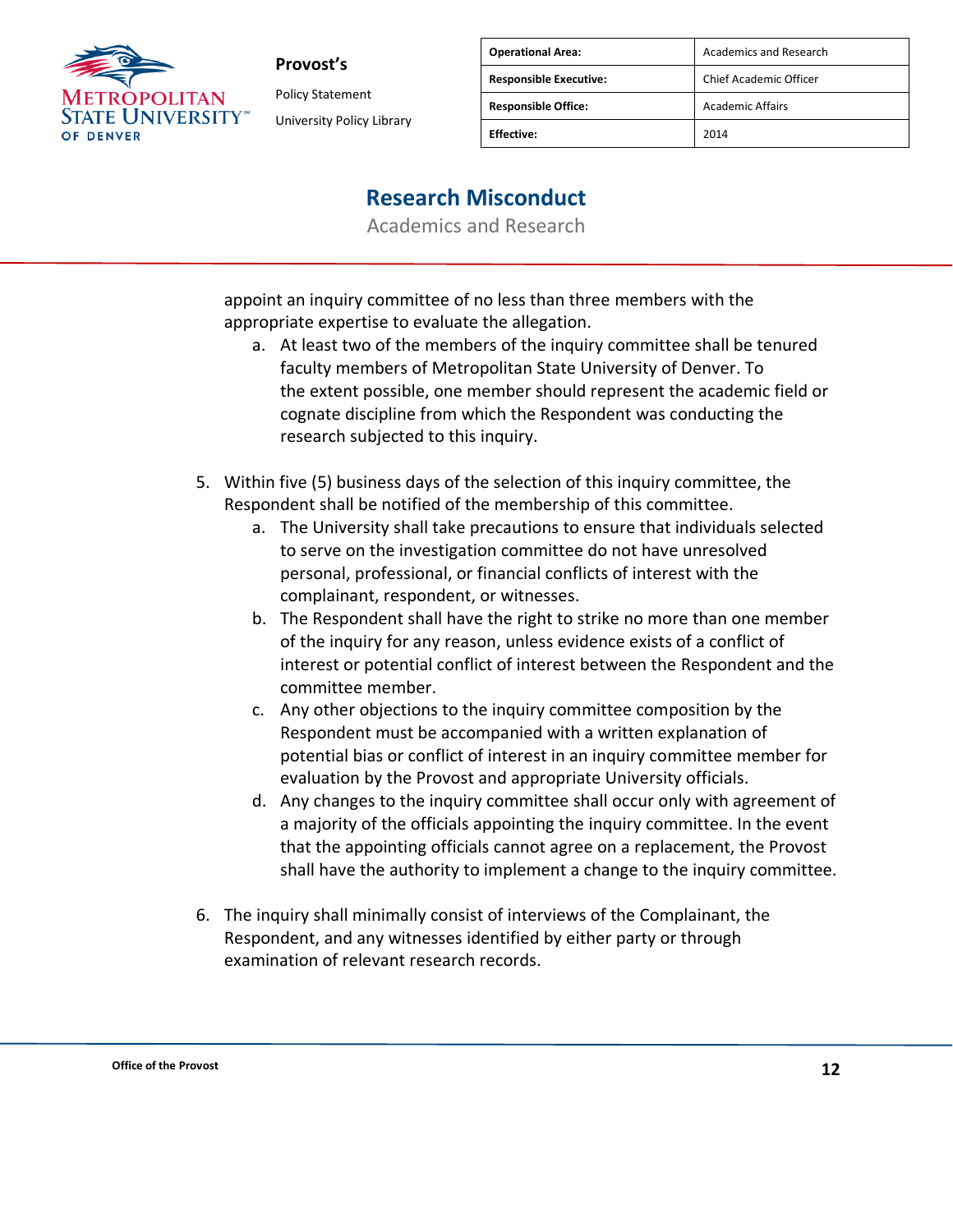

Policy Statement University Policy Library

| <b>Operational Area:</b>      | Academics and Research  |
|-------------------------------|-------------------------|
| <b>Responsible Executive:</b> | Chief Academic Officer  |
| <b>Responsible Office:</b>    | <b>Academic Affairs</b> |
| <b>Effective:</b>             | 2014                    |

### **Research Misconduct**

Academics and Research

appoint an inquiry committee of no less than three members with the appropriate expertise to evaluate the allegation.

- a. At least two of the members of the inquiry committee shall be tenured faculty members of Metropolitan State University of Denver. To the extent possible, one member should represent the academic field or cognate discipline from which the Respondent was conducting the research subjected to this inquiry.
- 5. Within five (5) business days of the selection of this inquiry committee, the Respondent shall be notified of the membership of this committee.
	- a. The University shall take precautions to ensure that individuals selected to serve on the investigation committee do not have unresolved personal, professional, or financial conflicts of interest with the complainant, respondent, or witnesses.
	- b. The Respondent shall have the right to strike no more than one member of the inquiry for any reason, unless evidence exists of a conflict of interest or potential conflict of interest between the Respondent and the committee member.
	- c. Any other objections to the inquiry committee composition by the Respondent must be accompanied with a written explanation of potential bias or conflict of interest in an inquiry committee member for evaluation by the Provost and appropriate University officials.
	- d. Any changes to the inquiry committee shall occur only with agreement of a majority of the officials appointing the inquiry committee. In the event that the appointing officials cannot agree on a replacement, the Provost shall have the authority to implement a change to the inquiry committee.
- 6. The inquiry shall minimally consist of interviews of the Complainant, the Respondent, and any witnesses identified by either party or through examination of relevant research records.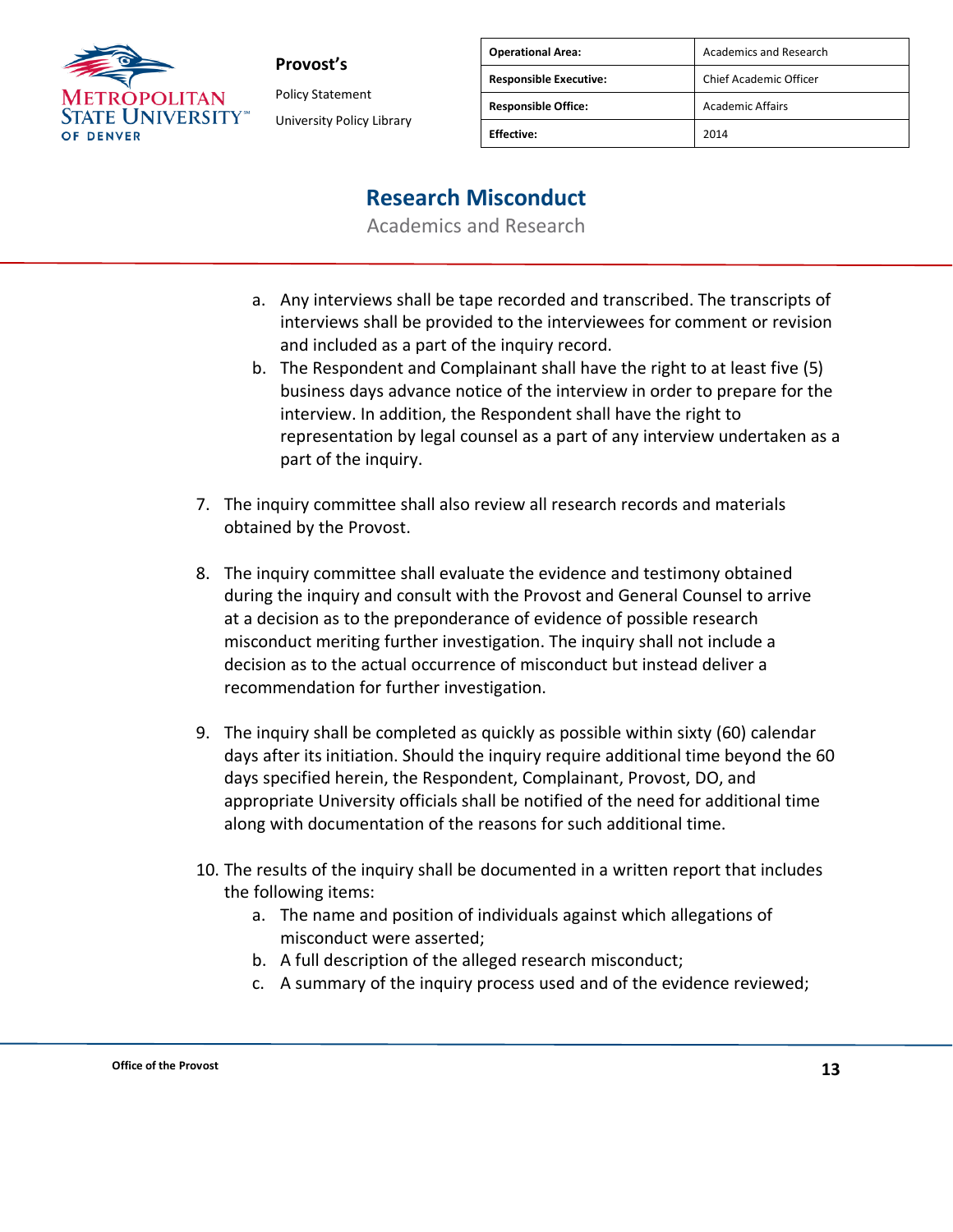

**Provost's** Policy Statement University Policy Library

| <b>Operational Area:</b>      | <b>Academics and Research</b> |
|-------------------------------|-------------------------------|
| <b>Responsible Executive:</b> | Chief Academic Officer        |
| <b>Responsible Office:</b>    | <b>Academic Affairs</b>       |
| <b>Effective:</b>             | 2014                          |

### **Research Misconduct**

- a. Any interviews shall be tape recorded and transcribed. The transcripts of interviews shall be provided to the interviewees for comment or revision and included as a part of the inquiry record.
- b. The Respondent and Complainant shall have the right to at least five (5) business days advance notice of the interview in order to prepare for the interview. In addition, the Respondent shall have the right to representation by legal counsel as a part of any interview undertaken as a part of the inquiry.
- 7. The inquiry committee shall also review all research records and materials obtained by the Provost.
- 8. The inquiry committee shall evaluate the evidence and testimony obtained during the inquiry and consult with the Provost and General Counsel to arrive at a decision as to the preponderance of evidence of possible research misconduct meriting further investigation. The inquiry shall not include a decision as to the actual occurrence of misconduct but instead deliver a recommendation for further investigation.
- 9. The inquiry shall be completed as quickly as possible within sixty (60) calendar days after its initiation. Should the inquiry require additional time beyond the 60 days specified herein, the Respondent, Complainant, Provost, DO, and appropriate University officials shall be notified of the need for additional time along with documentation of the reasons for such additional time.
- 10. The results of the inquiry shall be documented in a written report that includes the following items:
	- a. The name and position of individuals against which allegations of misconduct were asserted;
	- b. A full description of the alleged research misconduct;
	- c. A summary of the inquiry process used and of the evidence reviewed;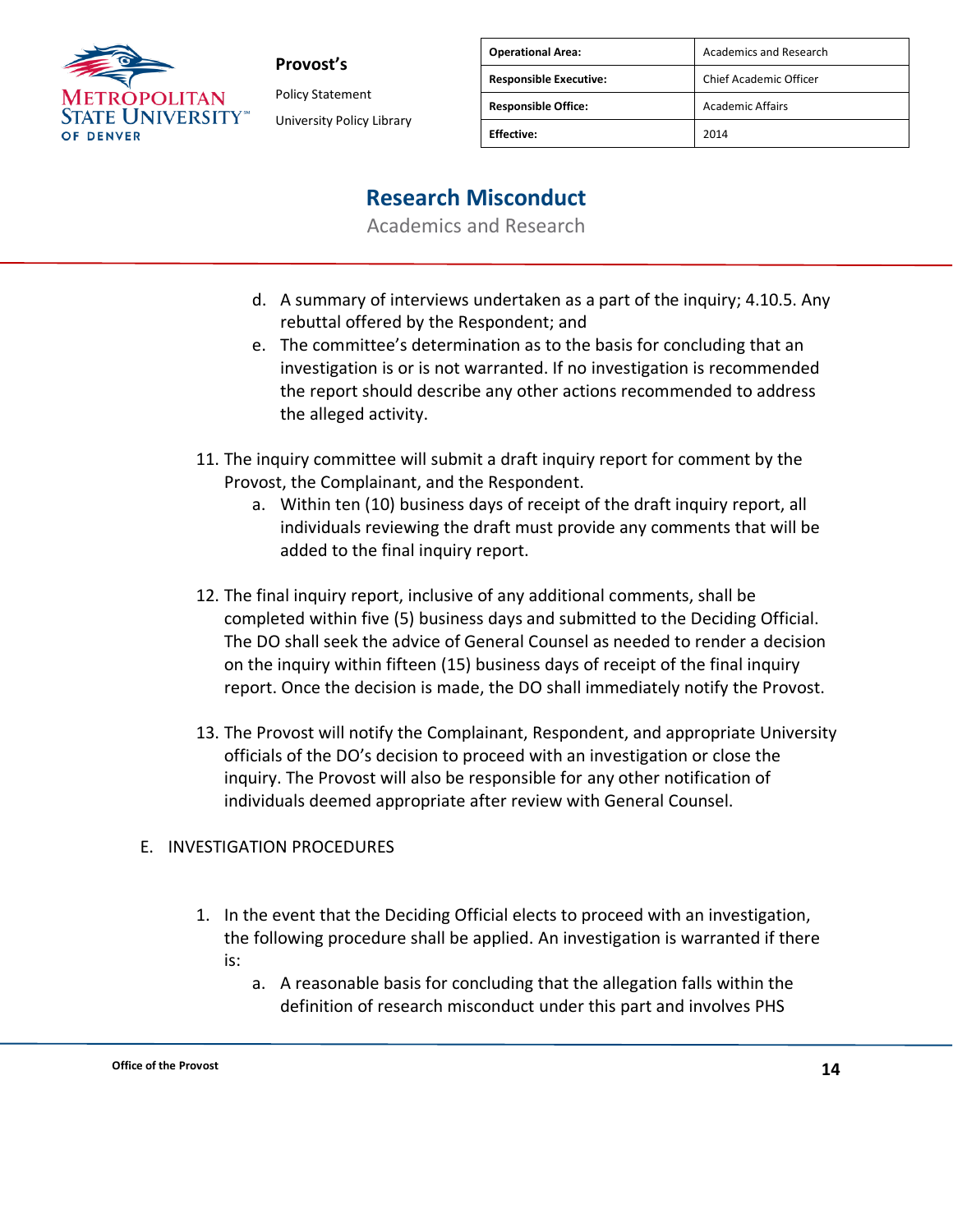

**Provost's** Policy Statement University Policy Library

| <b>Operational Area:</b>      | <b>Academics and Research</b> |
|-------------------------------|-------------------------------|
| <b>Responsible Executive:</b> | Chief Academic Officer        |
| <b>Responsible Office:</b>    | <b>Academic Affairs</b>       |
| <b>Effective:</b>             | 2014                          |

### **Research Misconduct**

Academics and Research

- d. A summary of interviews undertaken as a part of the inquiry; 4.10.5. Any rebuttal offered by the Respondent; and
- e. The committee's determination as to the basis for concluding that an investigation is or is not warranted. If no investigation is recommended the report should describe any other actions recommended to address the alleged activity.
- 11. The inquiry committee will submit a draft inquiry report for comment by the Provost, the Complainant, and the Respondent.
	- a. Within ten (10) business days of receipt of the draft inquiry report, all individuals reviewing the draft must provide any comments that will be added to the final inquiry report.
- 12. The final inquiry report, inclusive of any additional comments, shall be completed within five (5) business days and submitted to the Deciding Official. The DO shall seek the advice of General Counsel as needed to render a decision on the inquiry within fifteen (15) business days of receipt of the final inquiry report. Once the decision is made, the DO shall immediately notify the Provost.
- 13. The Provost will notify the Complainant, Respondent, and appropriate University officials of the DO's decision to proceed with an investigation or close the inquiry. The Provost will also be responsible for any other notification of individuals deemed appropriate after review with General Counsel.

### E. INVESTIGATION PROCEDURES

- 1. In the event that the Deciding Official elects to proceed with an investigation, the following procedure shall be applied. An investigation is warranted if there is:
	- a. A reasonable basis for concluding that the allegation falls within the definition of research misconduct under this part and involves PHS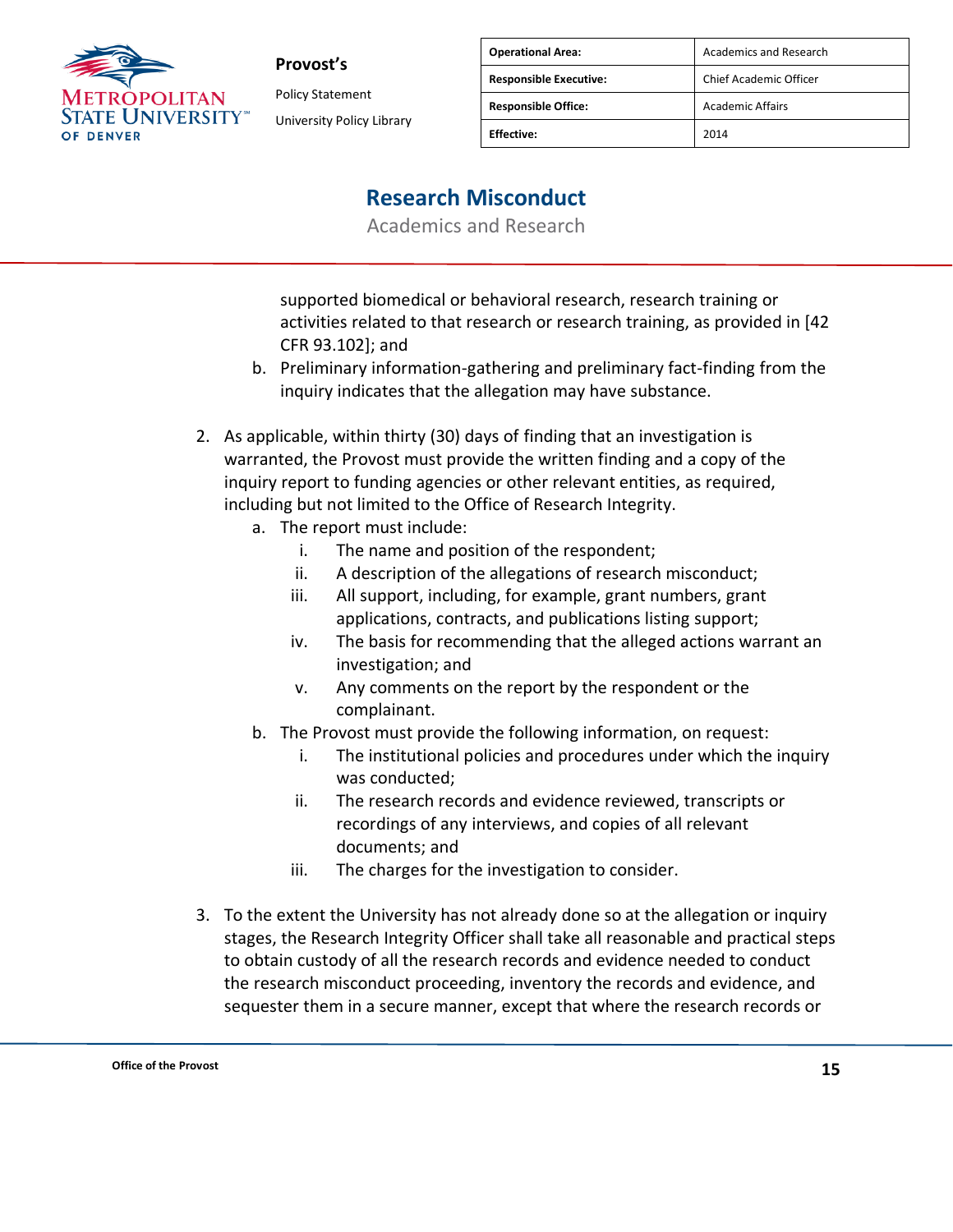

Policy Statement University Policy Library

| <b>Operational Area:</b>      | Academics and Research  |
|-------------------------------|-------------------------|
| <b>Responsible Executive:</b> | Chief Academic Officer  |
| <b>Responsible Office:</b>    | <b>Academic Affairs</b> |
| <b>Fffective:</b>             | 2014                    |

## **Research Misconduct**

Academics and Research

supported biomedical or behavioral research, research training or activities related to that research or research training, as provided in [42 CFR 93.102]; and

- b. Preliminary information-gathering and preliminary fact-finding from the inquiry indicates that the allegation may have substance.
- 2. As applicable, within thirty (30) days of finding that an investigation is warranted, the Provost must provide the written finding and a copy of the inquiry report to funding agencies or other relevant entities, as required, including but not limited to the Office of Research Integrity.
	- a. The report must include:
		- i. The name and position of the respondent;
		- ii. A description of the allegations of research misconduct;
		- iii. All support, including, for example, grant numbers, grant applications, contracts, and publications listing support;
		- iv. The basis for recommending that the alleged actions warrant an investigation; and
		- v. Any comments on the report by the respondent or the complainant.
	- b. The Provost must provide the following information, on request:
		- i. The institutional policies and procedures under which the inquiry was conducted;
		- ii. The research records and evidence reviewed, transcripts or recordings of any interviews, and copies of all relevant documents; and
		- iii. The charges for the investigation to consider.
- 3. To the extent the University has not already done so at the allegation or inquiry stages, the Research Integrity Officer shall take all reasonable and practical steps to obtain custody of all the research records and evidence needed to conduct the research misconduct proceeding, inventory the records and evidence, and sequester them in a secure manner, except that where the research records or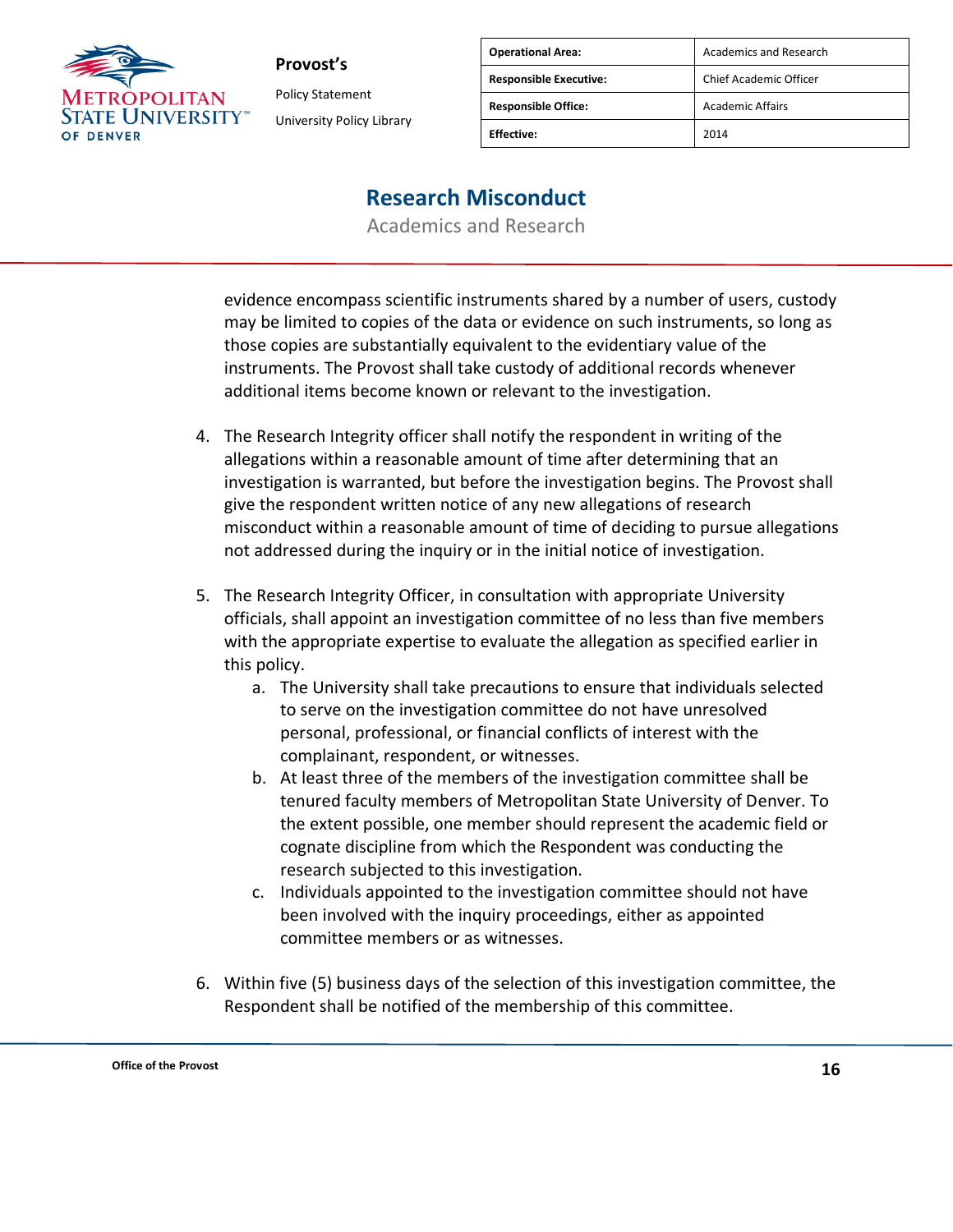

Policy Statement University Policy Library

| <b>Operational Area:</b>      | Academics and Research  |
|-------------------------------|-------------------------|
| <b>Responsible Executive:</b> | Chief Academic Officer  |
| <b>Responsible Office:</b>    | <b>Academic Affairs</b> |
| <b>Effective:</b>             | 2014                    |

### **Research Misconduct**

Academics and Research

evidence encompass scientific instruments shared by a number of users, custody may be limited to copies of the data or evidence on such instruments, so long as those copies are substantially equivalent to the evidentiary value of the instruments. The Provost shall take custody of additional records whenever additional items become known or relevant to the investigation.

- 4. The Research Integrity officer shall notify the respondent in writing of the allegations within a reasonable amount of time after determining that an investigation is warranted, but before the investigation begins. The Provost shall give the respondent written notice of any new allegations of research misconduct within a reasonable amount of time of deciding to pursue allegations not addressed during the inquiry or in the initial notice of investigation.
- 5. The Research Integrity Officer, in consultation with appropriate University officials, shall appoint an investigation committee of no less than five members with the appropriate expertise to evaluate the allegation as specified earlier in this policy.
	- a. The University shall take precautions to ensure that individuals selected to serve on the investigation committee do not have unresolved personal, professional, or financial conflicts of interest with the complainant, respondent, or witnesses.
	- b. At least three of the members of the investigation committee shall be tenured faculty members of Metropolitan State University of Denver. To the extent possible, one member should represent the academic field or cognate discipline from which the Respondent was conducting the research subjected to this investigation.
	- c. Individuals appointed to the investigation committee should not have been involved with the inquiry proceedings, either as appointed committee members or as witnesses.
- 6. Within five (5) business days of the selection of this investigation committee, the Respondent shall be notified of the membership of this committee.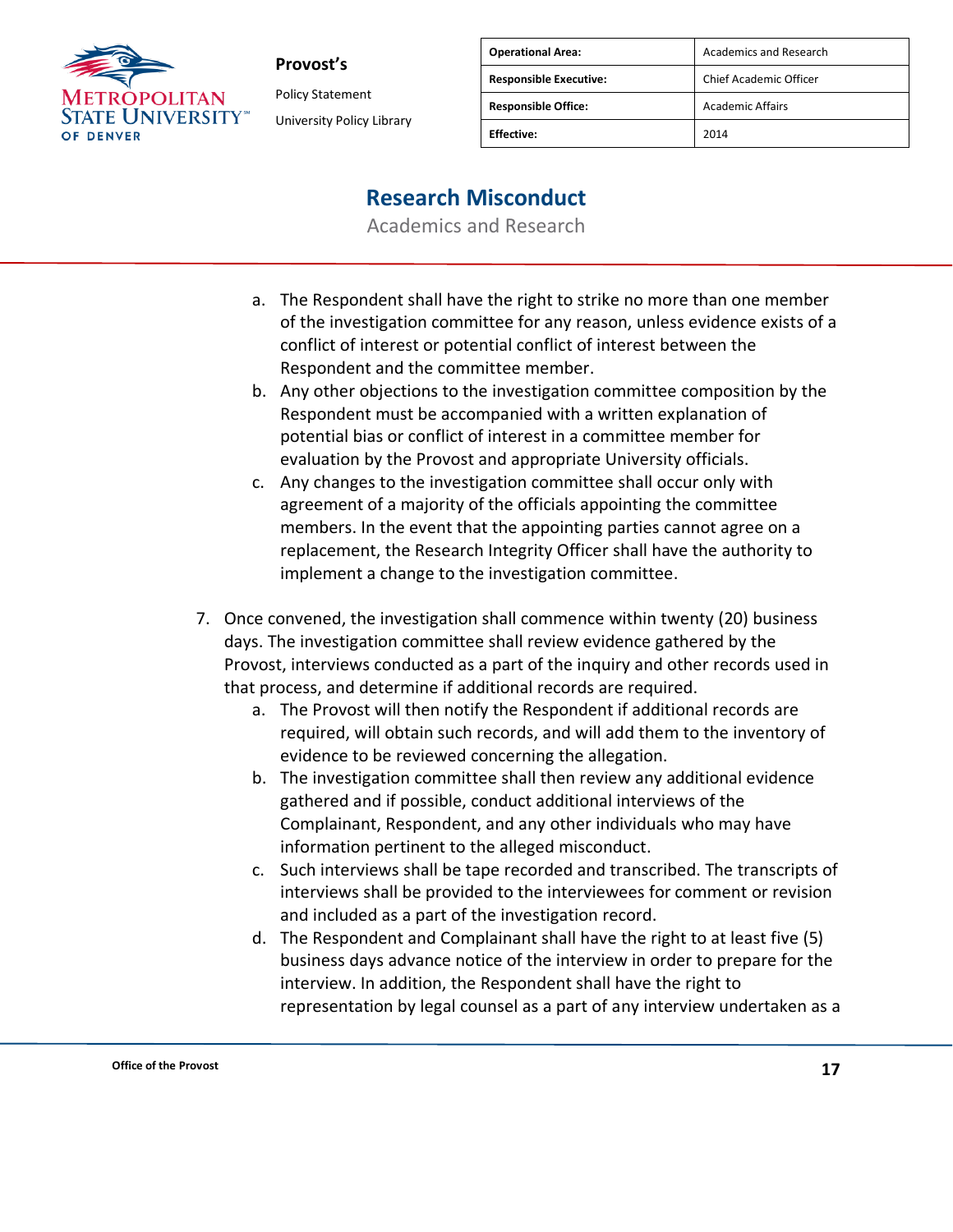

Policy Statement University Policy Library

| <b>Operational Area:</b>      | Academics and Research  |
|-------------------------------|-------------------------|
| <b>Responsible Executive:</b> | Chief Academic Officer  |
| <b>Responsible Office:</b>    | <b>Academic Affairs</b> |
| <b>Fffective:</b>             | 2014                    |

### **Research Misconduct**

- a. The Respondent shall have the right to strike no more than one member of the investigation committee for any reason, unless evidence exists of a conflict of interest or potential conflict of interest between the Respondent and the committee member.
- b. Any other objections to the investigation committee composition by the Respondent must be accompanied with a written explanation of potential bias or conflict of interest in a committee member for evaluation by the Provost and appropriate University officials.
- c. Any changes to the investigation committee shall occur only with agreement of a majority of the officials appointing the committee members. In the event that the appointing parties cannot agree on a replacement, the Research Integrity Officer shall have the authority to implement a change to the investigation committee.
- 7. Once convened, the investigation shall commence within twenty (20) business days. The investigation committee shall review evidence gathered by the Provost, interviews conducted as a part of the inquiry and other records used in that process, and determine if additional records are required.
	- a. The Provost will then notify the Respondent if additional records are required, will obtain such records, and will add them to the inventory of evidence to be reviewed concerning the allegation.
	- b. The investigation committee shall then review any additional evidence gathered and if possible, conduct additional interviews of the Complainant, Respondent, and any other individuals who may have information pertinent to the alleged misconduct.
	- c. Such interviews shall be tape recorded and transcribed. The transcripts of interviews shall be provided to the interviewees for comment or revision and included as a part of the investigation record.
	- d. The Respondent and Complainant shall have the right to at least five (5) business days advance notice of the interview in order to prepare for the interview. In addition, the Respondent shall have the right to representation by legal counsel as a part of any interview undertaken as a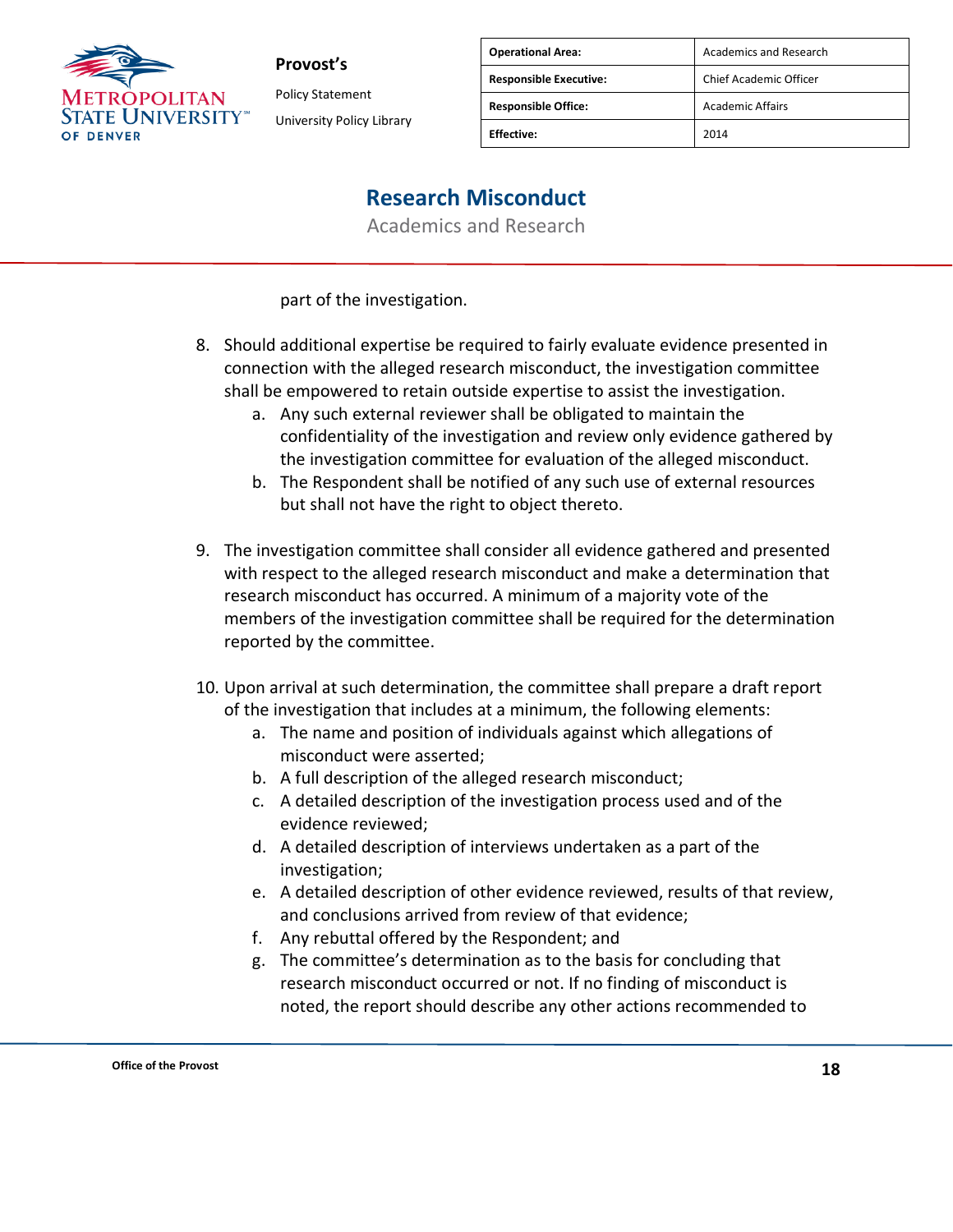

Policy Statement University Policy Library

| <b>Operational Area:</b>      | <b>Academics and Research</b> |
|-------------------------------|-------------------------------|
| <b>Responsible Executive:</b> | Chief Academic Officer        |
| <b>Responsible Office:</b>    | <b>Academic Affairs</b>       |
| <b>Fffective:</b>             | 2014                          |

## **Research Misconduct**

Academics and Research

part of the investigation.

- 8. Should additional expertise be required to fairly evaluate evidence presented in connection with the alleged research misconduct, the investigation committee shall be empowered to retain outside expertise to assist the investigation.
	- a. Any such external reviewer shall be obligated to maintain the confidentiality of the investigation and review only evidence gathered by the investigation committee for evaluation of the alleged misconduct.
	- b. The Respondent shall be notified of any such use of external resources but shall not have the right to object thereto.
- 9. The investigation committee shall consider all evidence gathered and presented with respect to the alleged research misconduct and make a determination that research misconduct has occurred. A minimum of a majority vote of the members of the investigation committee shall be required for the determination reported by the committee.
- 10. Upon arrival at such determination, the committee shall prepare a draft report of the investigation that includes at a minimum, the following elements:
	- a. The name and position of individuals against which allegations of misconduct were asserted;
	- b. A full description of the alleged research misconduct;
	- c. A detailed description of the investigation process used and of the evidence reviewed;
	- d. A detailed description of interviews undertaken as a part of the investigation;
	- e. A detailed description of other evidence reviewed, results of that review, and conclusions arrived from review of that evidence;
	- f. Any rebuttal offered by the Respondent; and
	- g. The committee's determination as to the basis for concluding that research misconduct occurred or not. If no finding of misconduct is noted, the report should describe any other actions recommended to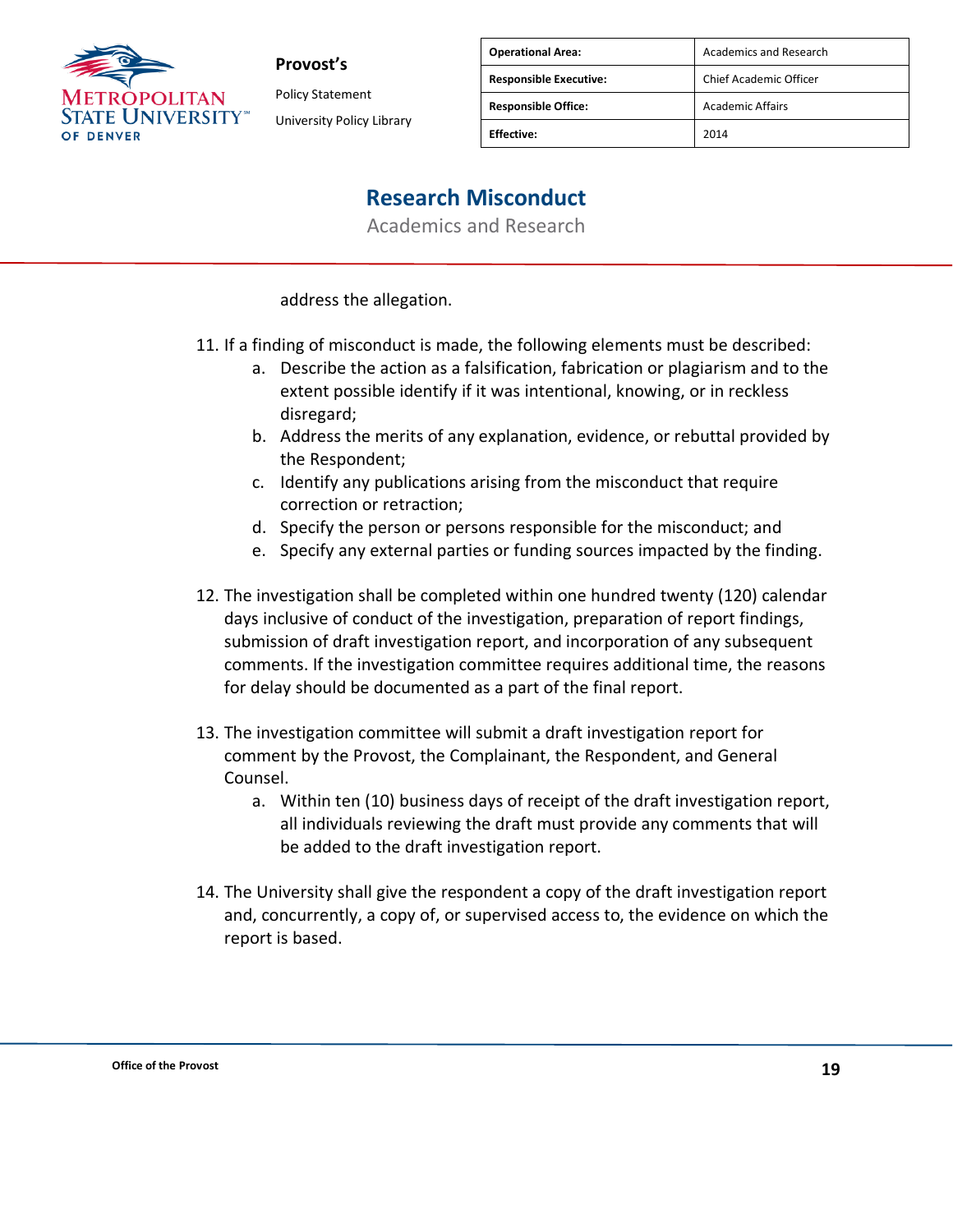

Policy Statement University Policy Library

| <b>Operational Area:</b>      | <b>Academics and Research</b> |
|-------------------------------|-------------------------------|
| <b>Responsible Executive:</b> | <b>Chief Academic Officer</b> |
| <b>Responsible Office:</b>    | <b>Academic Affairs</b>       |
| <b>Fffective:</b>             | 2014                          |

# **Research Misconduct**

Academics and Research

address the allegation.

- 11. If a finding of misconduct is made, the following elements must be described:
	- a. Describe the action as a falsification, fabrication or plagiarism and to the extent possible identify if it was intentional, knowing, or in reckless disregard;
	- b. Address the merits of any explanation, evidence, or rebuttal provided by the Respondent;
	- c. Identify any publications arising from the misconduct that require correction or retraction;
	- d. Specify the person or persons responsible for the misconduct; and
	- e. Specify any external parties or funding sources impacted by the finding.
- 12. The investigation shall be completed within one hundred twenty (120) calendar days inclusive of conduct of the investigation, preparation of report findings, submission of draft investigation report, and incorporation of any subsequent comments. If the investigation committee requires additional time, the reasons for delay should be documented as a part of the final report.
- 13. The investigation committee will submit a draft investigation report for comment by the Provost, the Complainant, the Respondent, and General Counsel.
	- a. Within ten (10) business days of receipt of the draft investigation report, all individuals reviewing the draft must provide any comments that will be added to the draft investigation report.
- 14. The University shall give the respondent a copy of the draft investigation report and, concurrently, a copy of, or supervised access to, the evidence on which the report is based.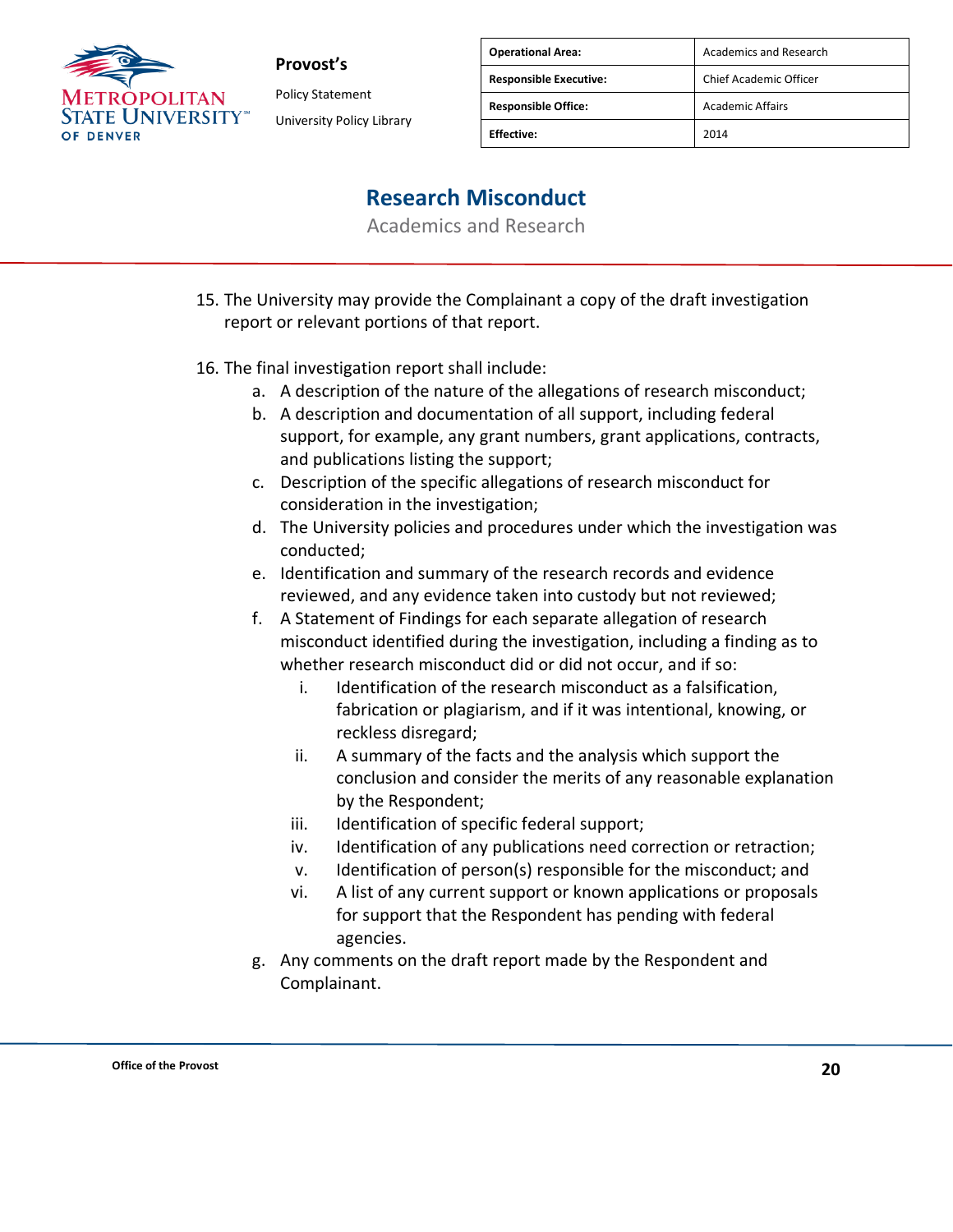

Policy Statement University Policy Library

| <b>Operational Area:</b>      | Academics and Research  |
|-------------------------------|-------------------------|
| <b>Responsible Executive:</b> | Chief Academic Officer  |
| <b>Responsible Office:</b>    | <b>Academic Affairs</b> |
| <b>Fffective:</b>             | 2014                    |

### **Research Misconduct**

- 15. The University may provide the Complainant a copy of the draft investigation report or relevant portions of that report.
- 16. The final investigation report shall include:
	- a. A description of the nature of the allegations of research misconduct;
	- b. A description and documentation of all support, including federal support, for example, any grant numbers, grant applications, contracts, and publications listing the support;
	- c. Description of the specific allegations of research misconduct for consideration in the investigation;
	- d. The University policies and procedures under which the investigation was conducted;
	- e. Identification and summary of the research records and evidence reviewed, and any evidence taken into custody but not reviewed;
	- f. A Statement of Findings for each separate allegation of research misconduct identified during the investigation, including a finding as to whether research misconduct did or did not occur, and if so:
		- i. Identification of the research misconduct as a falsification, fabrication or plagiarism, and if it was intentional, knowing, or reckless disregard;
		- ii. A summary of the facts and the analysis which support the conclusion and consider the merits of any reasonable explanation by the Respondent;
		- iii. Identification of specific federal support;
		- iv. Identification of any publications need correction or retraction;
		- v. Identification of person(s) responsible for the misconduct; and
		- vi. A list of any current support or known applications or proposals for support that the Respondent has pending with federal agencies.
	- g. Any comments on the draft report made by the Respondent and Complainant.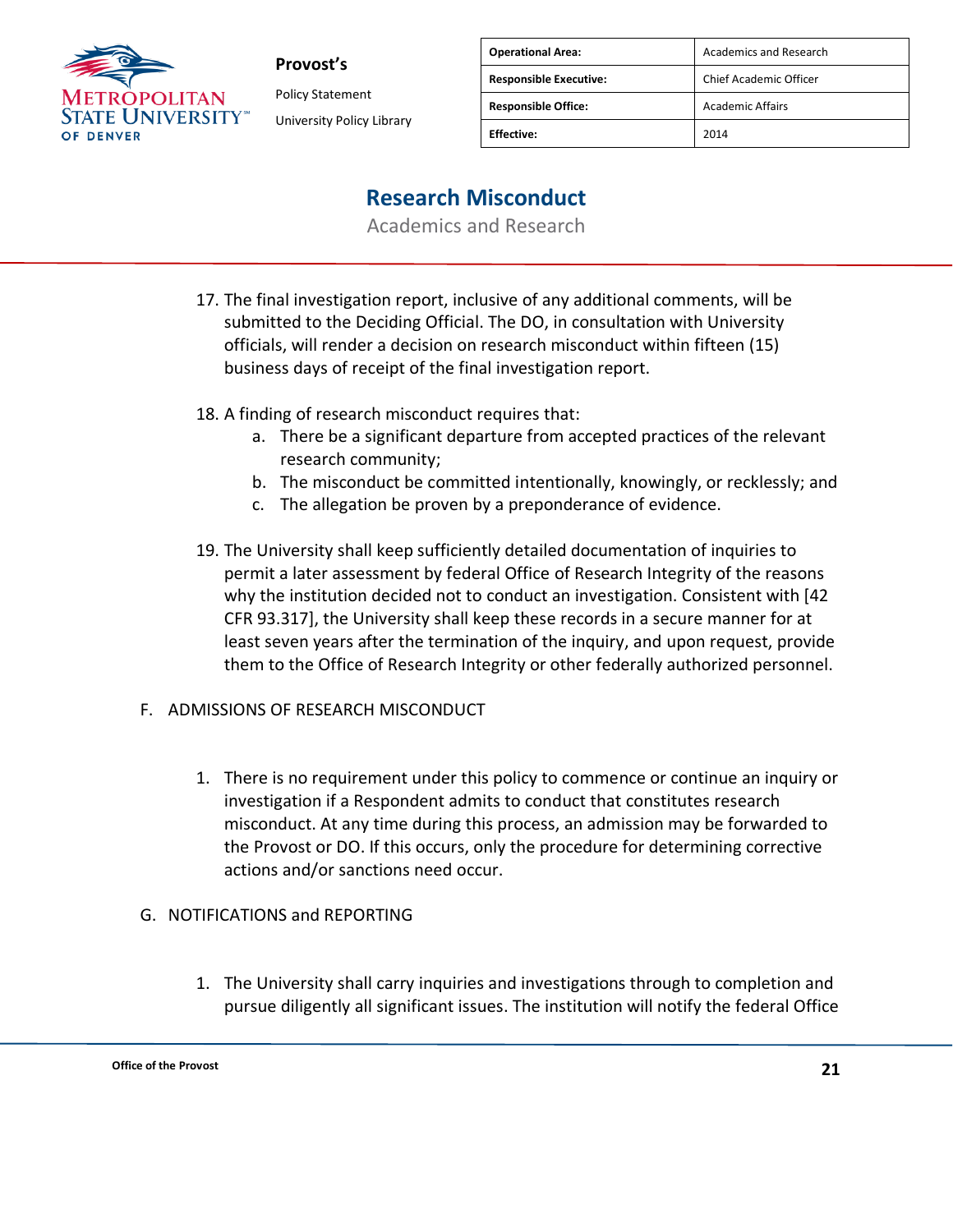

**Provost's** Policy Statement

University Policy Library

| <b>Operational Area:</b>      | Academics and Research  |
|-------------------------------|-------------------------|
| <b>Responsible Executive:</b> | Chief Academic Officer  |
| <b>Responsible Office:</b>    | <b>Academic Affairs</b> |
| <b>Effective:</b>             | 2014                    |

### **Research Misconduct**

Academics and Research

- 17. The final investigation report, inclusive of any additional comments, will be submitted to the Deciding Official. The DO, in consultation with University officials, will render a decision on research misconduct within fifteen (15) business days of receipt of the final investigation report.
- 18. A finding of research misconduct requires that:
	- a. There be a significant departure from accepted practices of the relevant research community;
	- b. The misconduct be committed intentionally, knowingly, or recklessly; and
	- c. The allegation be proven by a preponderance of evidence.
- 19. The University shall keep sufficiently detailed documentation of inquiries to permit a later assessment by federal Office of Research Integrity of the reasons why the institution decided not to conduct an investigation. Consistent with [42 CFR 93.317], the University shall keep these records in a secure manner for at least seven years after the termination of the inquiry, and upon request, provide them to the Office of Research Integrity or other federally authorized personnel.
- F. ADMISSIONS OF RESEARCH MISCONDUCT
	- 1. There is no requirement under this policy to commence or continue an inquiry or investigation if a Respondent admits to conduct that constitutes research misconduct. At any time during this process, an admission may be forwarded to the Provost or DO. If this occurs, only the procedure for determining corrective actions and/or sanctions need occur.
- G. NOTIFICATIONS and REPORTING
	- 1. The University shall carry inquiries and investigations through to completion and pursue diligently all significant issues. The institution will notify the federal Office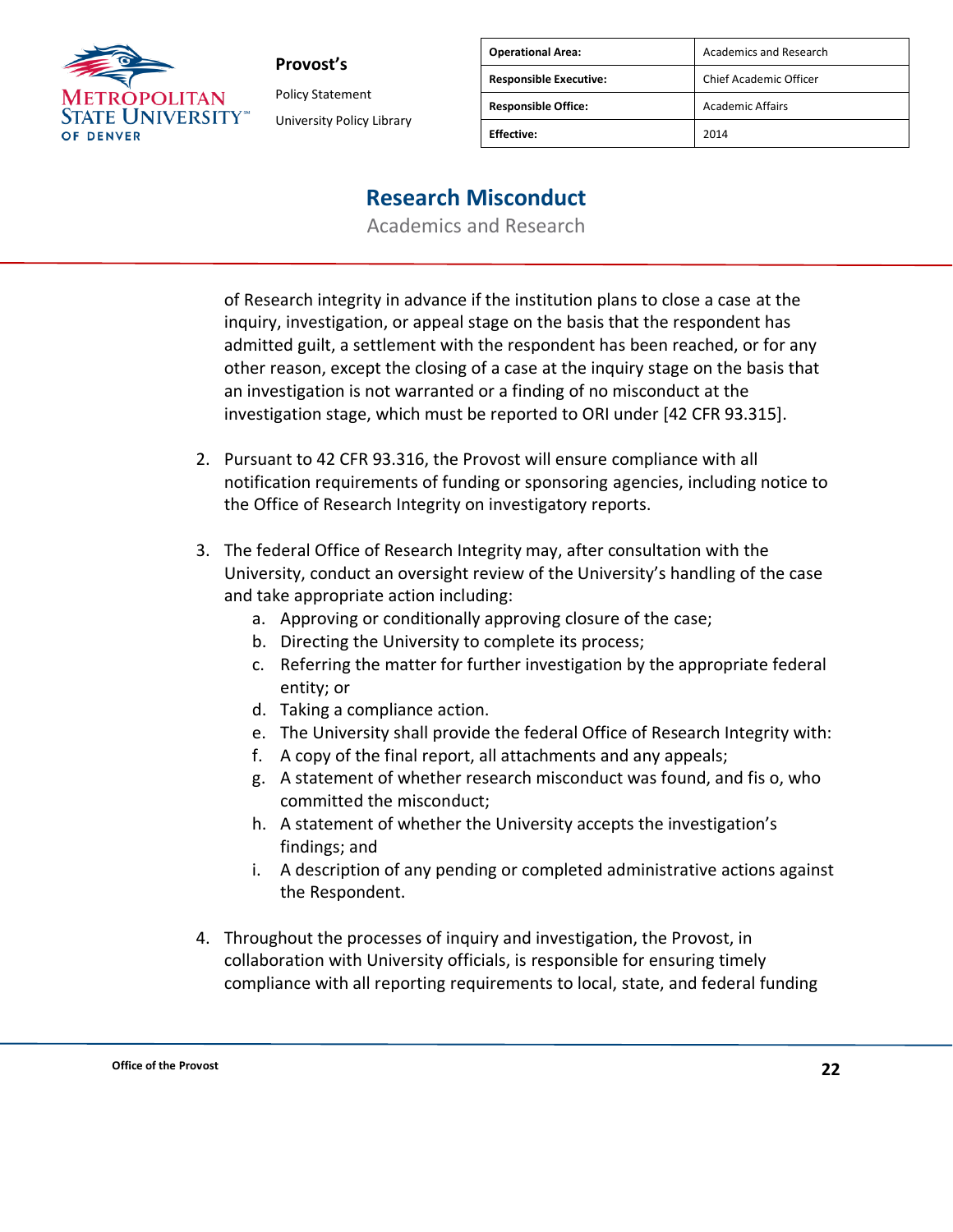

Policy Statement University Policy Library

| <b>Operational Area:</b>      | <b>Academics and Research</b> |
|-------------------------------|-------------------------------|
| <b>Responsible Executive:</b> | Chief Academic Officer        |
| <b>Responsible Office:</b>    | <b>Academic Affairs</b>       |
| <b>Fffective:</b>             | 2014                          |

### **Research Misconduct**

Academics and Research

of Research integrity in advance if the institution plans to close a case at the inquiry, investigation, or appeal stage on the basis that the respondent has admitted guilt, a settlement with the respondent has been reached, or for any other reason, except the closing of a case at the inquiry stage on the basis that an investigation is not warranted or a finding of no misconduct at the investigation stage, which must be reported to ORI under [42 CFR 93.315].

- 2. Pursuant to 42 CFR 93.316, the Provost will ensure compliance with all notification requirements of funding or sponsoring agencies, including notice to the Office of Research Integrity on investigatory reports.
- 3. The federal Office of Research Integrity may, after consultation with the University, conduct an oversight review of the University's handling of the case and take appropriate action including:
	- a. Approving or conditionally approving closure of the case;
	- b. Directing the University to complete its process;
	- c. Referring the matter for further investigation by the appropriate federal entity; or
	- d. Taking a compliance action.
	- e. The University shall provide the federal Office of Research Integrity with:
	- f. A copy of the final report, all attachments and any appeals;
	- g. A statement of whether research misconduct was found, and fis o, who committed the misconduct;
	- h. A statement of whether the University accepts the investigation's findings; and
	- i. A description of any pending or completed administrative actions against the Respondent.
- 4. Throughout the processes of inquiry and investigation, the Provost, in collaboration with University officials, is responsible for ensuring timely compliance with all reporting requirements to local, state, and federal funding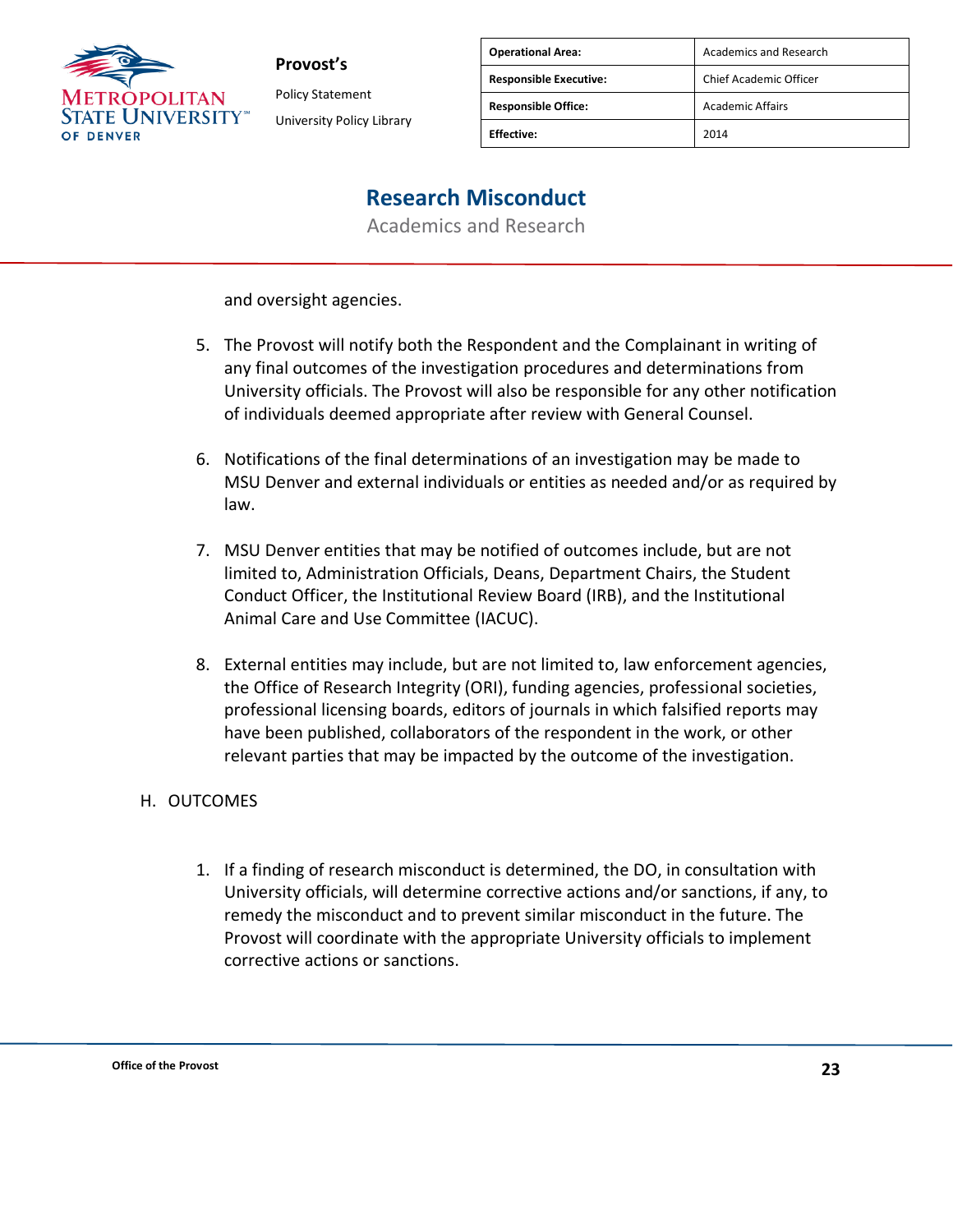

**Provost's** Policy Statement

University Policy Library

| <b>Operational Area:</b>      | Academics and Research  |
|-------------------------------|-------------------------|
| <b>Responsible Executive:</b> | Chief Academic Officer  |
| <b>Responsible Office:</b>    | <b>Academic Affairs</b> |
| <b>Effective:</b>             | 2014                    |

## **Research Misconduct**

Academics and Research

and oversight agencies.

- 5. The Provost will notify both the Respondent and the Complainant in writing of any final outcomes of the investigation procedures and determinations from University officials. The Provost will also be responsible for any other notification of individuals deemed appropriate after review with General Counsel.
- 6. Notifications of the final determinations of an investigation may be made to MSU Denver and external individuals or entities as needed and/or as required by law.
- 7. MSU Denver entities that may be notified of outcomes include, but are not limited to, Administration Officials, Deans, Department Chairs, the Student Conduct Officer, the Institutional Review Board (IRB), and the Institutional Animal Care and Use Committee (IACUC).
- 8. External entities may include, but are not limited to, law enforcement agencies, the Office of Research Integrity (ORI), funding agencies, professional societies, professional licensing boards, editors of journals in which falsified reports may have been published, collaborators of the respondent in the work, or other relevant parties that may be impacted by the outcome of the investigation.

### H. OUTCOMES

1. If a finding of research misconduct is determined, the DO, in consultation with University officials, will determine corrective actions and/or sanctions, if any, to remedy the misconduct and to prevent similar misconduct in the future. The Provost will coordinate with the appropriate University officials to implement corrective actions or sanctions.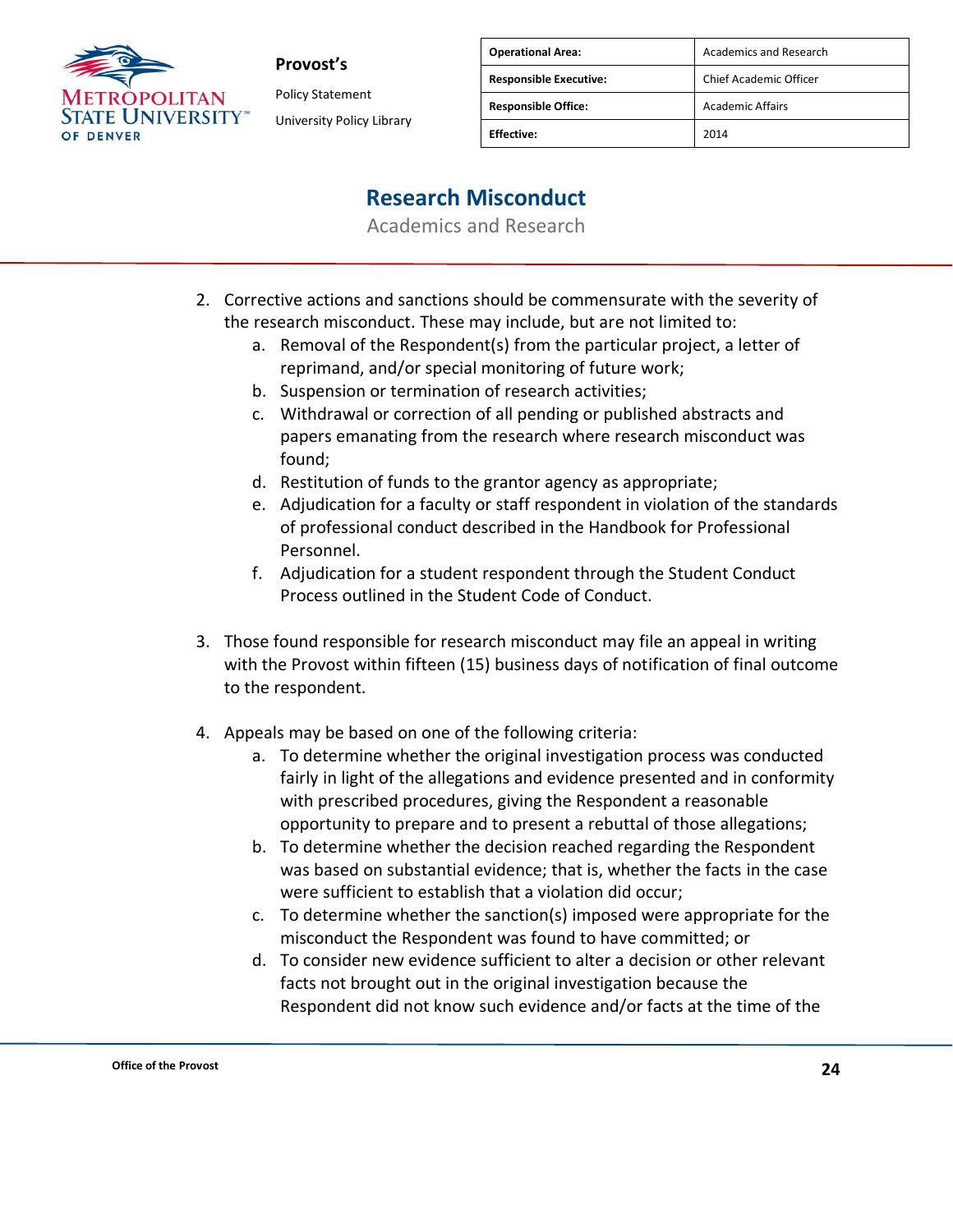

Policy Statement University Policy Library

| <b>Operational Area:</b>      | <b>Academics and Research</b> |
|-------------------------------|-------------------------------|
| <b>Responsible Executive:</b> | Chief Academic Officer        |
| <b>Responsible Office:</b>    | <b>Academic Affairs</b>       |
| <b>Effective:</b>             | 2014                          |

## **Research Misconduct**

- 2. Corrective actions and sanctions should be commensurate with the severity of the research misconduct. These may include, but are not limited to:
	- a. Removal of the Respondent(s) from the particular project, a letter of reprimand, and/or special monitoring of future work;
	- b. Suspension or termination of research activities;
	- c. Withdrawal or correction of all pending or published abstracts and papers emanating from the research where research misconduct was found;
	- d. Restitution of funds to the grantor agency as appropriate;
	- e. Adjudication for a faculty or staff respondent in violation of the standards of professional conduct described in the Handbook for Professional Personnel.
	- f. Adjudication for a student respondent through the Student Conduct Process outlined in the Student Code of Conduct.
- 3. Those found responsible for research misconduct may file an appeal in writing with the Provost within fifteen (15) business days of notification of final outcome to the respondent.
- 4. Appeals may be based on one of the following criteria:
	- a. To determine whether the original investigation process was conducted fairly in light of the allegations and evidence presented and in conformity with prescribed procedures, giving the Respondent a reasonable opportunity to prepare and to present a rebuttal of those allegations;
	- b. To determine whether the decision reached regarding the Respondent was based on substantial evidence; that is, whether the facts in the case were sufficient to establish that a violation did occur;
	- c. To determine whether the sanction(s) imposed were appropriate for the misconduct the Respondent was found to have committed; or
	- d. To consider new evidence sufficient to alter a decision or other relevant facts not brought out in the original investigation because the Respondent did not know such evidence and/or facts at the time of the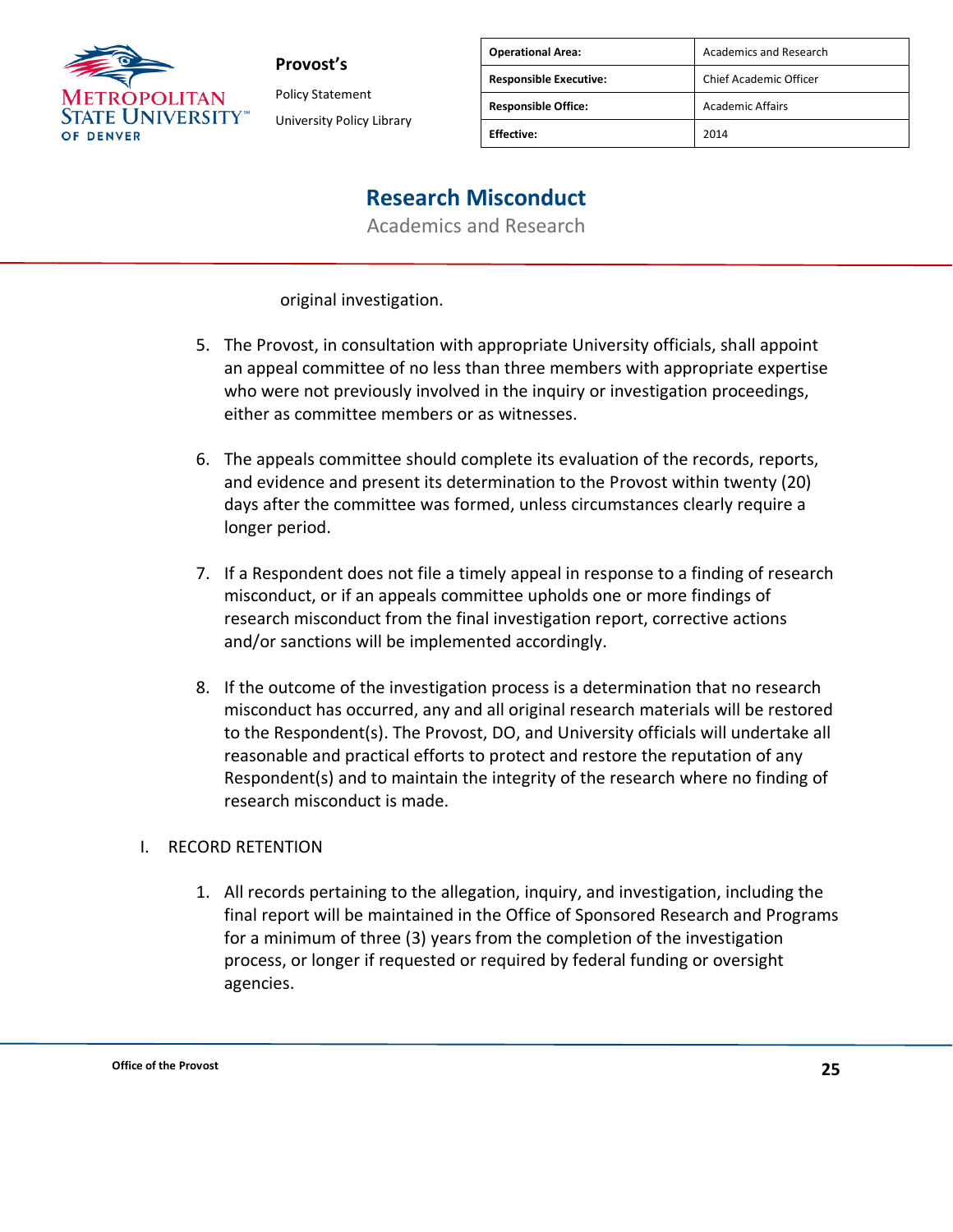

**Provost's** Policy Statement

University Policy Library

| <b>Operational Area:</b>      | <b>Academics and Research</b> |
|-------------------------------|-------------------------------|
| <b>Responsible Executive:</b> | Chief Academic Officer        |
| <b>Responsible Office:</b>    | <b>Academic Affairs</b>       |
| <b>Effective:</b>             | 2014                          |

### **Research Misconduct**

Academics and Research

original investigation.

- 5. The Provost, in consultation with appropriate University officials, shall appoint an appeal committee of no less than three members with appropriate expertise who were not previously involved in the inquiry or investigation proceedings, either as committee members or as witnesses.
- 6. The appeals committee should complete its evaluation of the records, reports, and evidence and present its determination to the Provost within twenty (20) days after the committee was formed, unless circumstances clearly require a longer period.
- 7. If a Respondent does not file a timely appeal in response to a finding of research misconduct, or if an appeals committee upholds one or more findings of research misconduct from the final investigation report, corrective actions and/or sanctions will be implemented accordingly.
- 8. If the outcome of the investigation process is a determination that no research misconduct has occurred, any and all original research materials will be restored to the Respondent(s). The Provost, DO, and University officials will undertake all reasonable and practical efforts to protect and restore the reputation of any Respondent(s) and to maintain the integrity of the research where no finding of research misconduct is made.

### I. RECORD RETENTION

1. All records pertaining to the allegation, inquiry, and investigation, including the final report will be maintained in the Office of Sponsored Research and Programs for a minimum of three (3) years from the completion of the investigation process, or longer if requested or required by federal funding or oversight agencies.